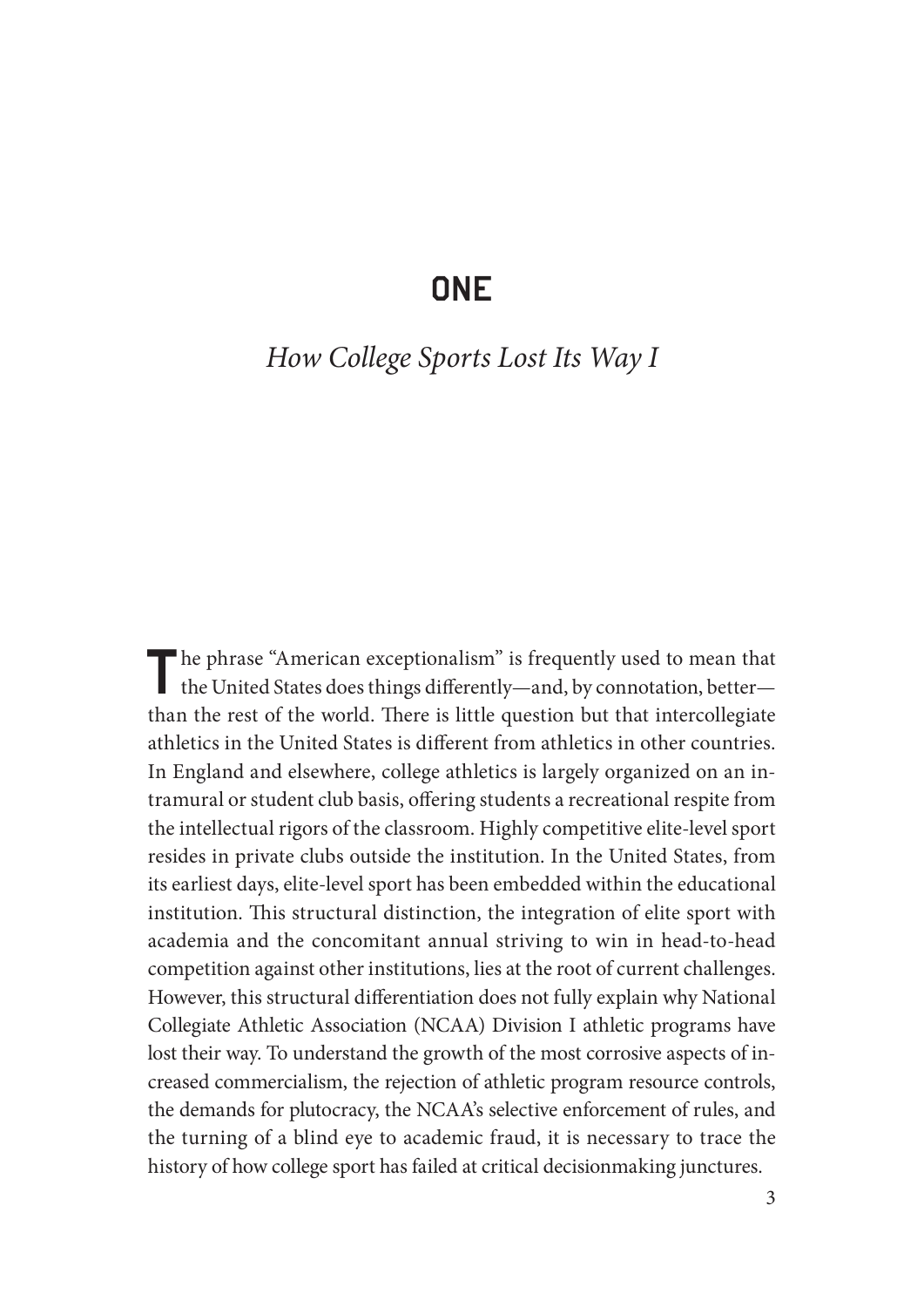# **ONE**

# *How College Sports Lost Its Way I*

The phrase "American exceptionalism" is frequently used to mean that the United States does things differently—and, by connotation, better than the rest of the world. There is little question but that intercollegiate athletics in the United States is different from athletics in other countries. In England and elsewhere, college athletics is largely organized on an intramural or student club basis, offering students a recreational respite from the intellectual rigors of the classroom. Highly competitive elite- level sport resides in private clubs outside the institution. In the United States, from its earliest days, elite- level sport has been embedded within the educational institution. This structural distinction, the integration of elite sport with academia and the concomitant annual striving to win in head-to-head competition against other institutions, lies at the root of current challenges. However, this structural differentiation does not fully explain why National Collegiate Athletic Association (NCAA) Division I athletic programs have lost their way. To understand the growth of the most corrosive aspects of increased commercialism, the rejection of athletic program resource controls, the demands for plutocracy, the NCAA's selective enforcement of rules, and the turning of a blind eye to academic fraud, it is necessary to trace the history of how college sport has failed at critical decisionmaking junctures.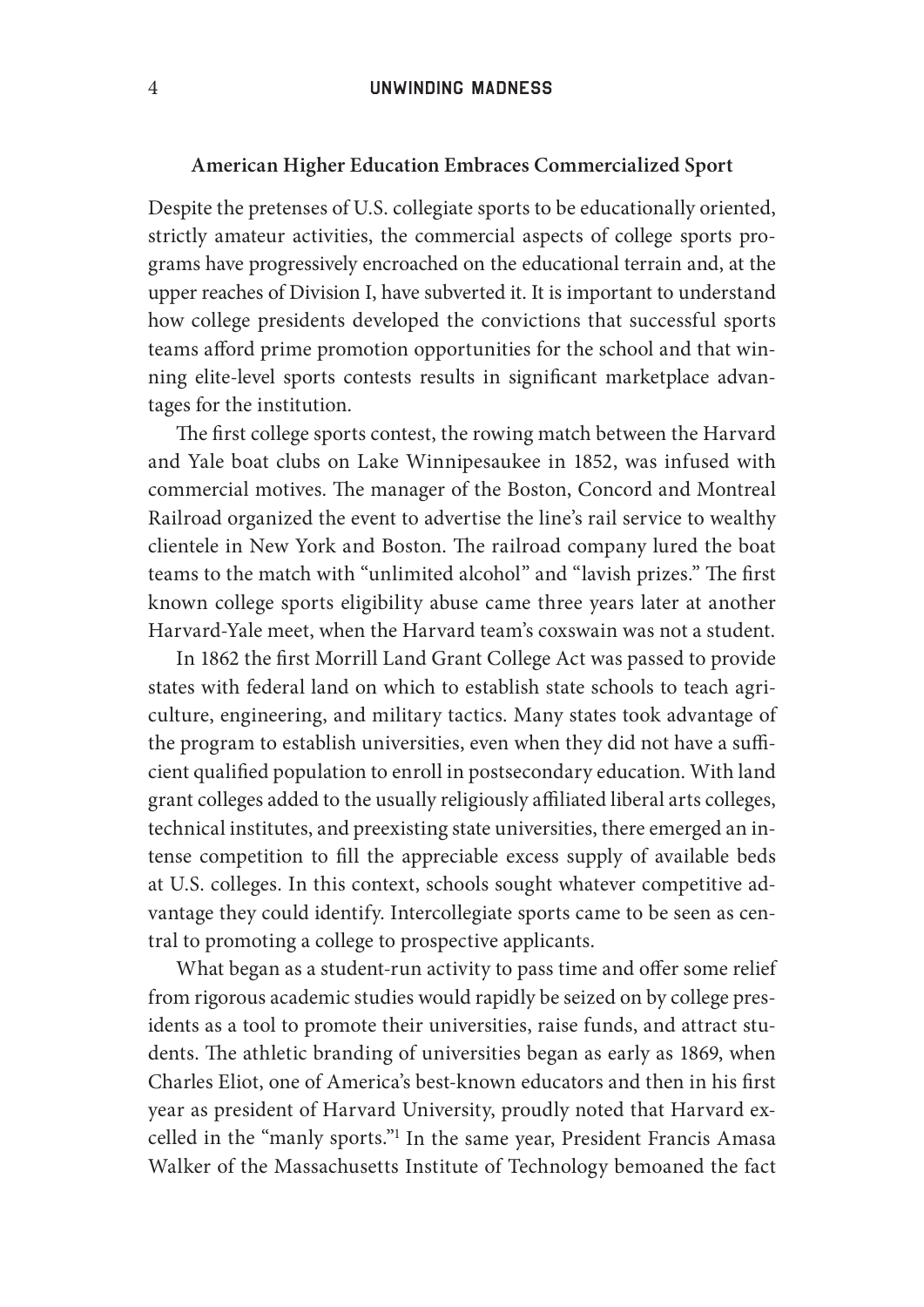#### 4 Unwinding Madness

#### **American Higher Education Embraces Commercialized Sport**

Despite the pretenses of U.S. collegiate sports to be educationally oriented, strictly amateur activities, the commercial aspects of college sports programs have progressively encroached on the educational terrain and, at the upper reaches of Division I, have subverted it. It is important to understand how college presidents developed the convictions that successful sports teams afford prime promotion opportunities for the school and that winning elite-level sports contests results in significant marketplace advantages for the institution.

The first college sports contest, the rowing match between the Harvard and Yale boat clubs on Lake Winnipesaukee in 1852, was infused with commercial motives. The manager of the Boston, Concord and Montreal Railroad organized the event to advertise the line's rail service to wealthy clientele in New York and Boston. The railroad company lured the boat teams to the match with "unlimited alcohol" and "lavish prizes." The first known college sports eligibility abuse came three years later at another Harvard- Yale meet, when the Harvard team's coxswain was not a student.

In 1862 the first Morrill Land Grant College Act was passed to provide states with federal land on which to establish state schools to teach agriculture, engineering, and military tactics. Many states took advantage of the program to establish universities, even when they did not have a sufficient qualified population to enroll in postsecondary education. With land grant colleges added to the usually religiously affiliated liberal arts colleges, technical institutes, and preexisting state universities, there emerged an intense competition to fill the appreciable excess supply of available beds at U.S. colleges. In this context, schools sought whatever competitive advantage they could identify. Intercollegiate sports came to be seen as central to promoting a college to prospective applicants.

What began as a student-run activity to pass time and offer some relief from rigorous academic studies would rapidly be seized on by college presidents as a tool to promote their universities, raise funds, and attract students. The athletic branding of universities began as early as 1869, when Charles Eliot, one of America's best-known educators and then in his first year as president of Harvard University, proudly noted that Harvard excelled in the "manly sports."<sup>1</sup> In the same year, President Francis Amasa Walker of the Massachusetts Institute of Technology bemoaned the fact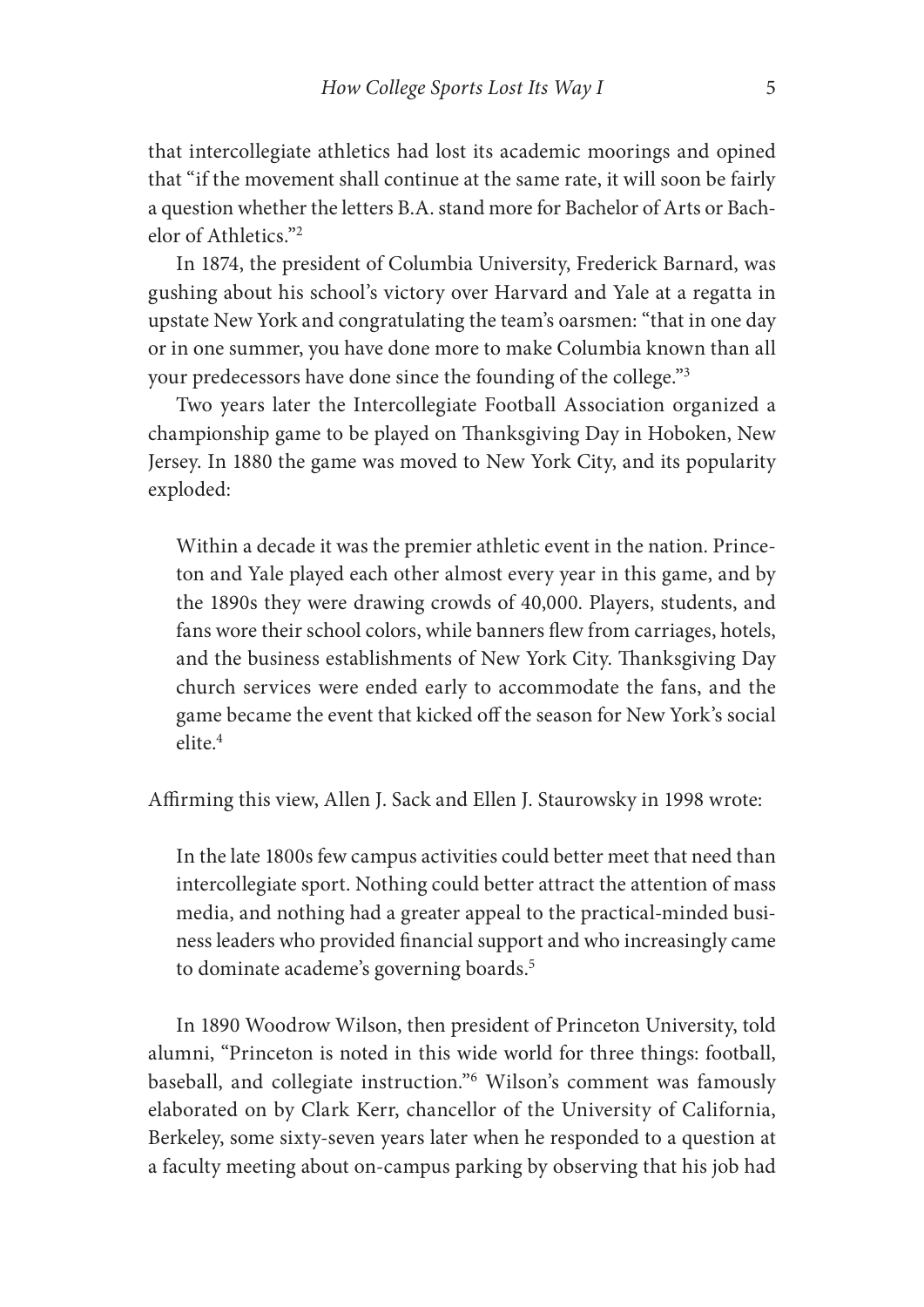that intercollegiate athletics had lost its academic moorings and opined that "if the movement shall continue at the same rate, it will soon be fairly a question whether the letters B.A. stand more for Bachelor of Arts or Bachelor of Athletics."2

In 1874, the president of Columbia University, Frederick Barnard, was gushing about his school's victory over Harvard and Yale at a regatta in upstate New York and congratulating the team's oarsmen: "that in one day or in one summer, you have done more to make Columbia known than all your predecessors have done since the founding of the college."<sup>3</sup>

Two years later the Intercollegiate Football Association organized a championship game to be played on Thanksgiving Day in Hoboken, New Jersey. In 1880 the game was moved to New York City, and its popularity exploded:

Within a decade it was the premier athletic event in the nation. Princeton and Yale played each other almost every year in this game, and by the 1890s they were drawing crowds of 40,000. Players, students, and fans wore their school colors, while banners flew from carriages, hotels, and the business establishments of New York City. Thanksgiving Day church ser vices were ended early to accommodate the fans, and the game became the event that kicked off the season for New York's social  $_{\text{elite}}$ <sup>4</sup>

Affirming this view, Allen J. Sack and Ellen J. Staurowsky in 1998 wrote:

In the late 1800s few campus activities could better meet that need than intercollegiate sport. Nothing could better attract the attention of mass media, and nothing had a greater appeal to the practical-minded business leaders who provided financial support and who increasingly came to dominate academe's governing boards.<sup>5</sup>

In 1890 Woodrow Wilson, then president of Princeton University, told alumni, "Princeton is noted in this wide world for three things: football, baseball, and collegiate instruction."6 Wilson's comment was famously elaborated on by Clark Kerr, chancellor of the University of California, Berkeley, some sixty- seven years later when he responded to a question at a faculty meeting about on- campus parking by observing that his job had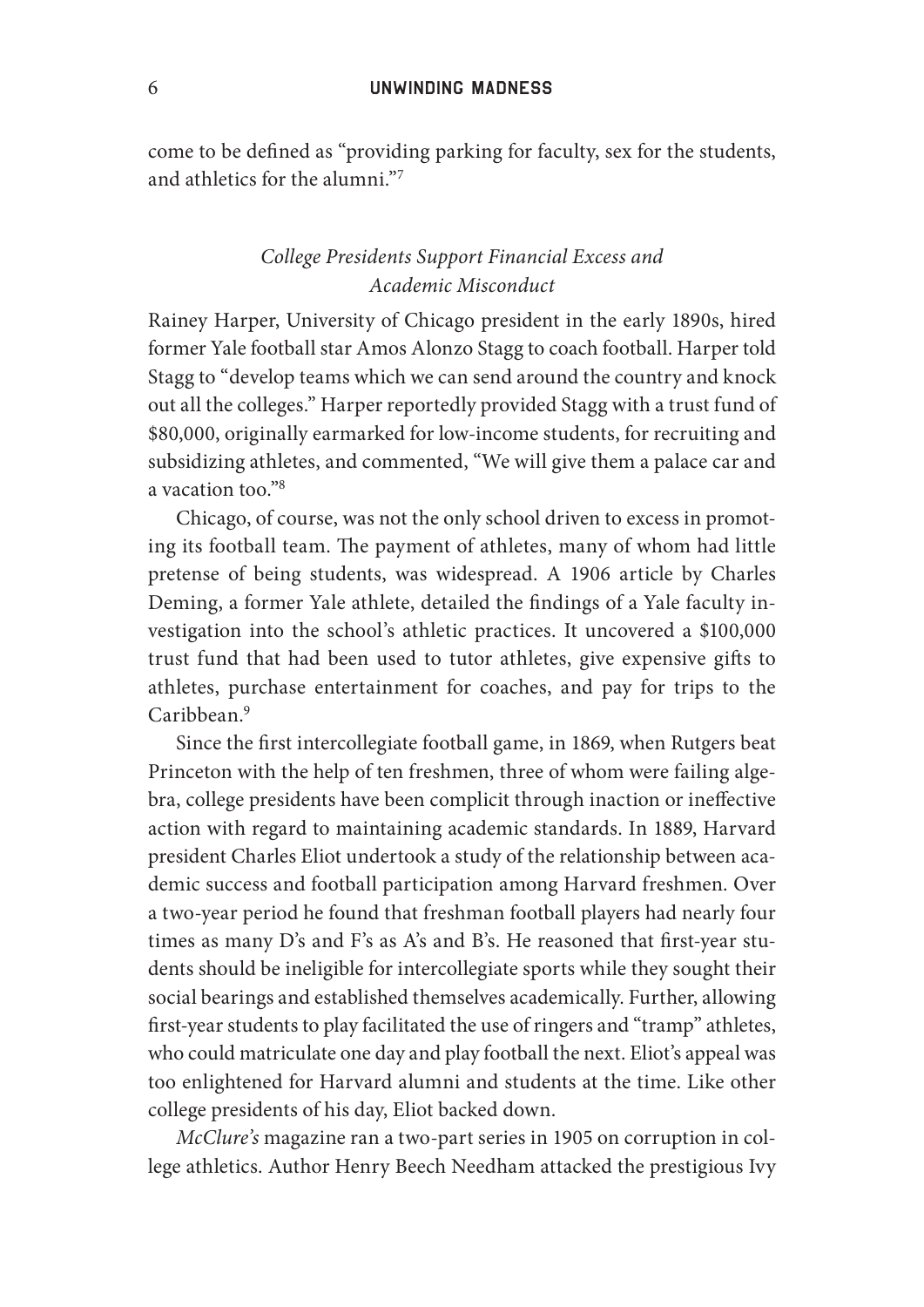#### 6 Unwinding Madness

come to be defined as "providing parking for faculty, sex for the students, and athletics for the alumni."7

### *College Presidents Support Financial Excess and Academic Misconduct*

Rainey Harper, University of Chicago president in the early 1890s, hired former Yale football star Amos Alonzo Stagg to coach football. Harper told Stagg to "develop teams which we can send around the country and knock out all the colleges." Harper reportedly provided Stagg with a trust fund of \$80,000, originally earmarked for low- income students, for recruiting and subsidizing athletes, and commented, "We will give them a palace car and a vacation too."8

Chicago, of course, was not the only school driven to excess in promoting its football team. The payment of athletes, many of whom had little pretense of being students, was widespread. A 1906 article by Charles Deming, a former Yale athlete, detailed the findings of a Yale faculty investigation into the school's athletic practices. It uncovered a \$100,000 trust fund that had been used to tutor athletes, give expensive gifts to athletes, purchase entertainment for coaches, and pay for trips to the  $Caribbean.<sup>9</sup>$ 

Since the first intercollegiate football game, in 1869, when Rutgers beat Princeton with the help of ten freshmen, three of whom were failing algebra, college presidents have been complicit through inaction or ineffective action with regard to maintaining academic standards. In 1889, Harvard president Charles Eliot undertook a study of the relationship between academic success and football participation among Harvard freshmen. Over a two- year period he found that freshman football players had nearly four times as many D's and F's as A's and B's. He reasoned that first-year students should be ineligible for intercollegiate sports while they sought their social bearings and established themselves academically. Further, allowing first-year students to play facilitated the use of ringers and "tramp" athletes, who could matriculate one day and play football the next. Eliot's appeal was too enlightened for Harvard alumni and students at the time. Like other college presidents of his day, Eliot backed down.

*McClure's* magazine ran a two- part series in 1905 on corruption in college athletics. Author Henry Beech Needham attacked the prestigious Ivy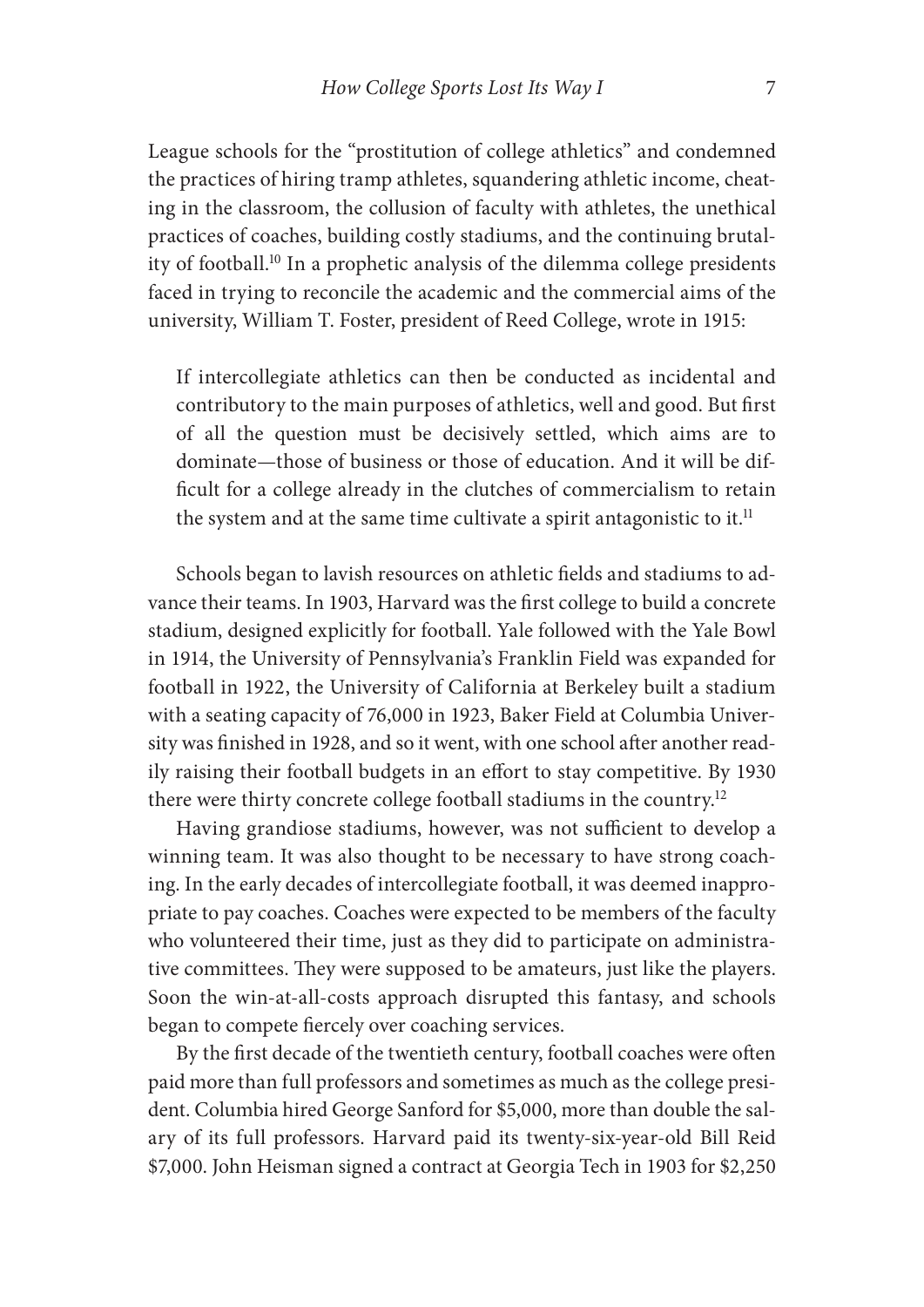League schools for the "prostitution of college athletics" and condemned the practices of hiring tramp athletes, squandering athletic income, cheating in the classroom, the collusion of faculty with athletes, the unethical practices of coaches, building costly stadiums, and the continuing brutality of football.<sup>10</sup> In a prophetic analysis of the dilemma college presidents faced in trying to reconcile the academic and the commercial aims of the university, William T. Foster, president of Reed College, wrote in 1915:

If intercollegiate athletics can then be conducted as incidental and contributory to the main purposes of athletics, well and good. But first of all the question must be decisively settled, which aims are to dominate— those of business or those of education. And it will be difficult for a college already in the clutches of commercialism to retain the system and at the same time cultivate a spirit antagonistic to it.<sup>11</sup>

Schools began to lavish resources on athletic fields and stadiums to advance their teams. In 1903, Harvard was the first college to build a concrete stadium, designed explicitly for football. Yale followed with the Yale Bowl in 1914, the University of Pennsylvania's Franklin Field was expanded for football in 1922, the University of California at Berkeley built a stadium with a seating capacity of 76,000 in 1923, Baker Field at Columbia University was finished in 1928, and so it went, with one school after another readily raising their football budgets in an effort to stay competitive. By 1930 there were thirty concrete college football stadiums in the country.12

Having grandiose stadiums, however, was not sufficient to develop a winning team. It was also thought to be necessary to have strong coaching. In the early decades of intercollegiate football, it was deemed inappropriate to pay coaches. Coaches were expected to be members of the faculty who volunteered their time, just as they did to participate on administrative committees. They were supposed to be amateurs, just like the players. Soon the win-at-all-costs approach disrupted this fantasy, and schools began to compete fiercely over coaching services.

By the first decade of the twentieth century, football coaches were often paid more than full professors and sometimes as much as the college president. Columbia hired George Sanford for \$5,000, more than double the salary of its full professors. Harvard paid its twenty-six-year-old Bill Reid \$7,000. John Heisman signed a contract at Georgia Tech in 1903 for \$2,250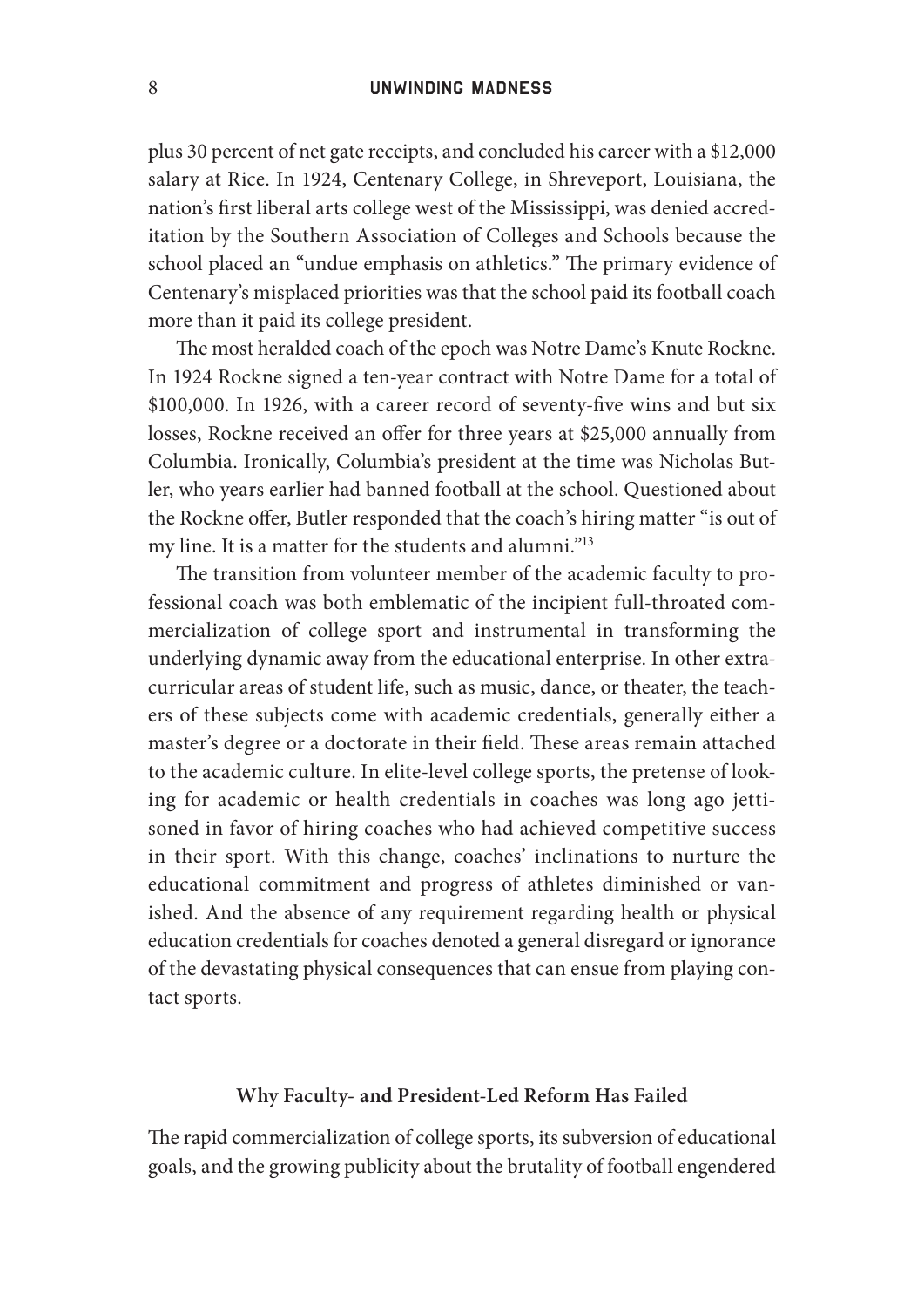plus 30 percent of net gate receipts, and concluded his career with a \$12,000 salary at Rice. In 1924, Centenary College, in Shreveport, Louisiana, the nation's first liberal arts college west of the Mississippi, was denied accreditation by the Southern Association of Colleges and Schools because the school placed an "undue emphasis on athletics." The primary evidence of Centenary's misplaced priorities was that the school paid its football coach more than it paid its college president.

The most heralded coach of the epoch was Notre Dame's Knute Rockne. In 1924 Rockne signed a ten-year contract with Notre Dame for a total of \$100,000. In 1926, with a career record of seventy-five wins and but six losses, Rockne received an offer for three years at \$25,000 annually from Columbia. Ironically, Columbia's president at the time was Nicholas Butler, who years earlier had banned football at the school. Questioned about the Rockne offer, Butler responded that the coach's hiring matter "is out of my line. It is a matter for the students and alumni."13

The transition from volunteer member of the academic faculty to professional coach was both emblematic of the incipient full- throated commercialization of college sport and instrumental in transforming the underlying dynamic away from the educational enterprise. In other extracurricular areas of student life, such as music, dance, or theater, the teachers of these subjects come with academic credentials, generally either a master's degree or a doctorate in their field. These areas remain attached to the academic culture. In elite- level college sports, the pretense of looking for academic or health credentials in coaches was long ago jettisoned in favor of hiring coaches who had achieved competitive success in their sport. With this change, coaches' inclinations to nurture the educational commitment and progress of athletes diminished or vanished. And the absence of any requirement regarding health or physical education credentials for coaches denoted a general disregard or ignorance of the devastating physical consequences that can ensue from playing contact sports.

#### **Why Faculty- and President- Led Reform Has Failed**

The rapid commercialization of college sports, its subversion of educational goals, and the growing publicity about the brutality of football engendered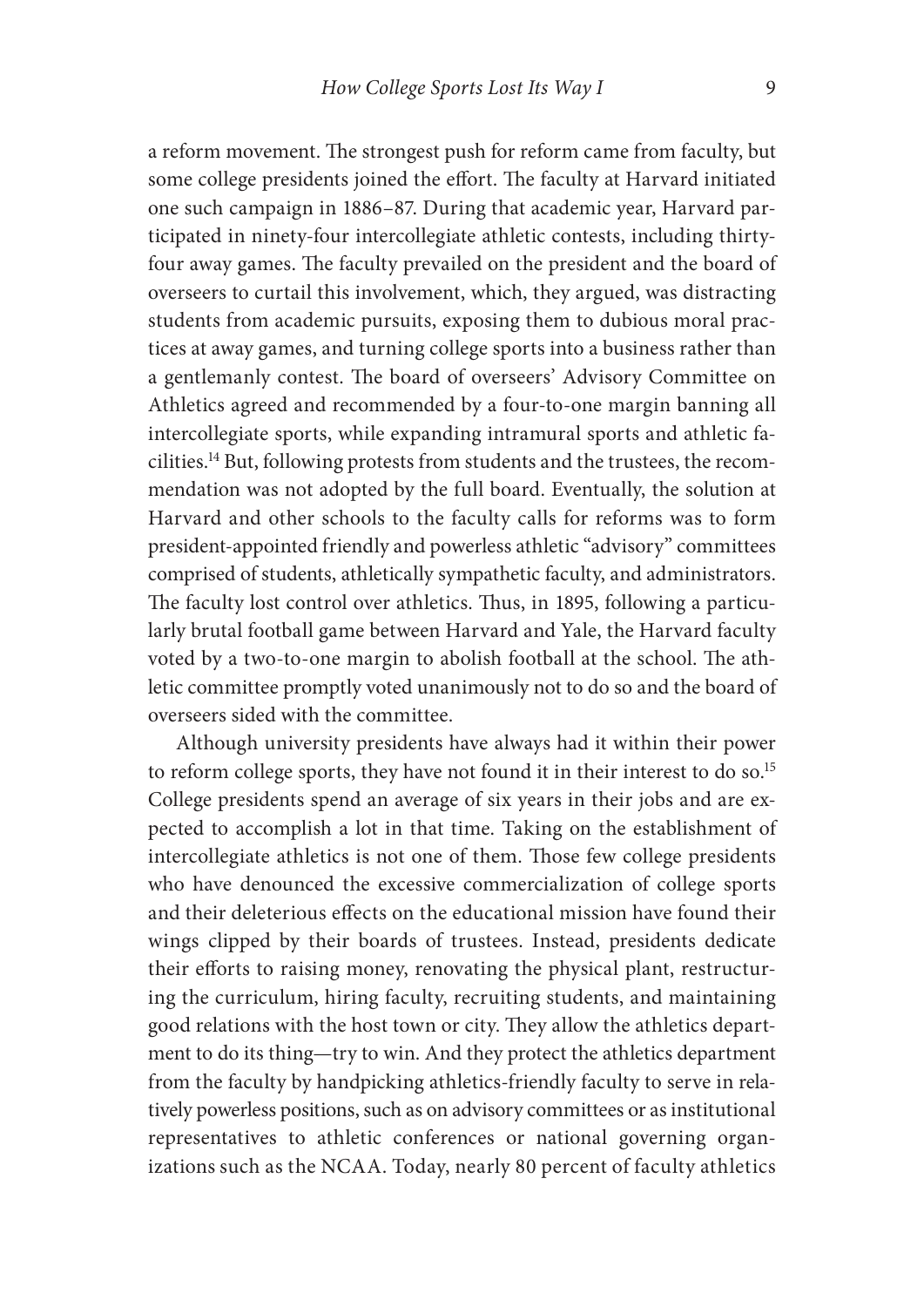a reform movement. The strongest push for reform came from faculty, but some college presidents joined the effort. The faculty at Harvard initiated one such campaign in 1886–87. During that academic year, Harvard participated in ninety- four intercollegiate athletic contests, including thirtyfour away games. The faculty prevailed on the president and the board of overseers to curtail this involvement, which, they argued, was distracting students from academic pursuits, exposing them to dubious moral practices at away games, and turning college sports into a business rather than a gentlemanly contest. The board of overseers' Advisory Committee on Athletics agreed and recommended by a four-to-one margin banning all intercollegiate sports, while expanding intramural sports and athletic facilities.14 But, following protests from students and the trustees, the recommendation was not adopted by the full board. Eventually, the solution at Harvard and other schools to the faculty calls for reforms was to form president- appointed friendly and powerless athletic "advisory" committees comprised of students, athletically sympathetic faculty, and administrators. The faculty lost control over athletics. Thus, in 1895, following a particularly brutal football game between Harvard and Yale, the Harvard faculty voted by a two-to-one margin to abolish football at the school. The athletic committee promptly voted unanimously not to do so and the board of overseers sided with the committee.

Although university presidents have always had it within their power to reform college sports, they have not found it in their interest to do so.<sup>15</sup> College presidents spend an average of six years in their jobs and are expected to accomplish a lot in that time. Taking on the establishment of intercollegiate athletics is not one of them. Those few college presidents who have denounced the excessive commercialization of college sports and their deleterious effects on the educational mission have found their wings clipped by their boards of trustees. Instead, presidents dedicate their efforts to raising money, renovating the physical plant, restructuring the curriculum, hiring faculty, recruiting students, and maintaining good relations with the host town or city. They allow the athletics department to do its thing— try to win. And they protect the athletics department from the faculty by handpicking athletics- friendly faculty to serve in relatively powerless positions, such as on advisory committees or as institutional representatives to athletic conferences or national governing organizations such as the NCAA. Today, nearly 80 percent of faculty athletics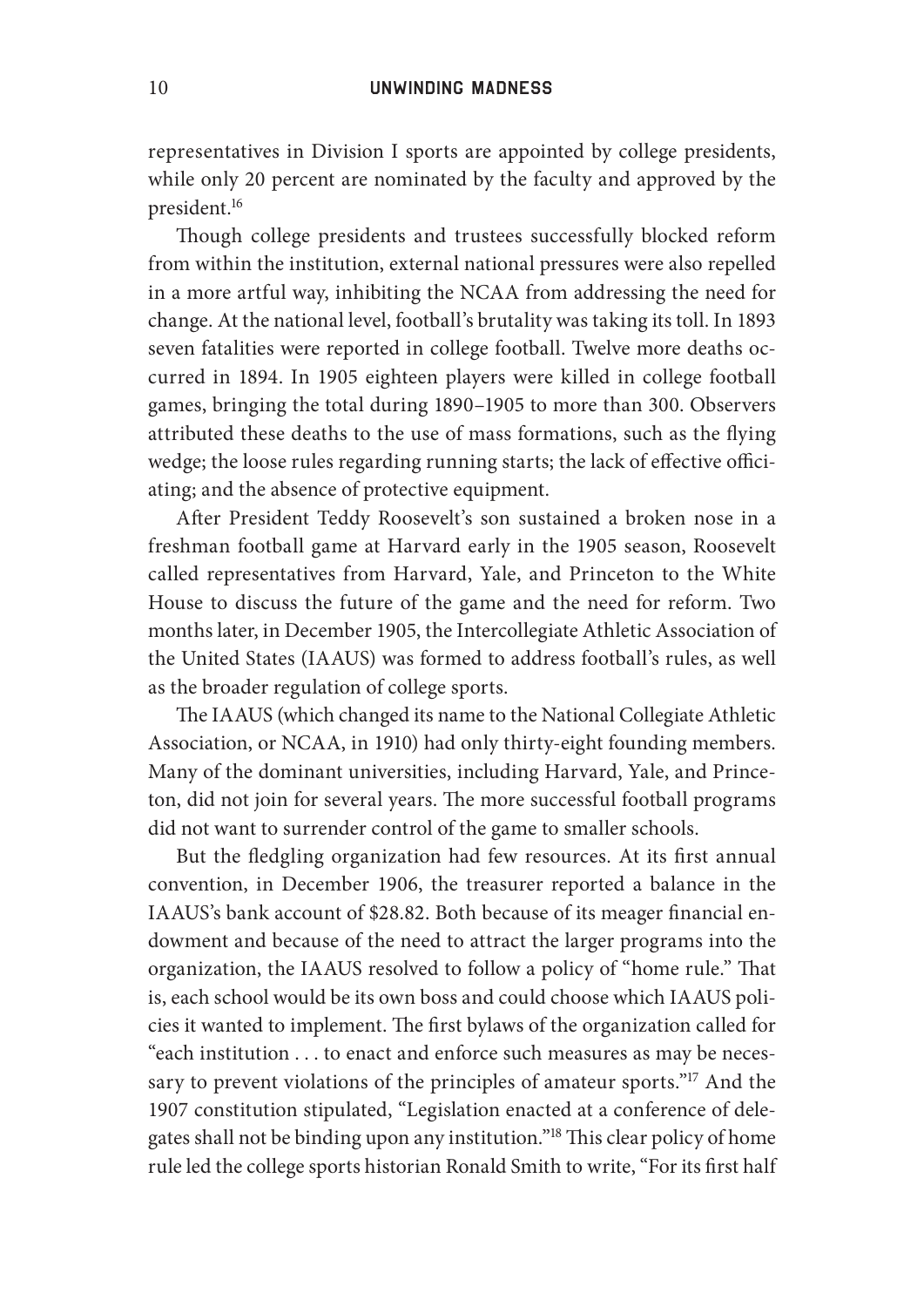representatives in Division I sports are appointed by college presidents, while only 20 percent are nominated by the faculty and approved by the president.16

Though college presidents and trustees successfully blocked reform from within the institution, external national pressures were also repelled in a more artful way, inhibiting the NCAA from addressing the need for change. At the national level, football's brutality was taking its toll. In 1893 seven fatalities were reported in college football. Twelve more deaths occurred in 1894. In 1905 eighteen players were killed in college football games, bringing the total during 1890–1905 to more than 300. Observers attributed these deaths to the use of mass formations, such as the flying wedge; the loose rules regarding running starts; the lack of effective officiating; and the absence of protective equipment.

After President Teddy Roosevelt's son sustained a broken nose in a freshman football game at Harvard early in the 1905 season, Roosevelt called representatives from Harvard, Yale, and Princeton to the White House to discuss the future of the game and the need for reform. Two months later, in December 1905, the Intercollegiate Athletic Association of the United States (IAAUS) was formed to address football's rules, as well as the broader regulation of college sports.

The IAAUS (which changed its name to the National Collegiate Athletic Association, or NCAA, in 1910) had only thirty- eight founding members. Many of the dominant universities, including Harvard, Yale, and Princeton, did not join for several years. The more successful football programs did not want to surrender control of the game to smaller schools.

But the fledgling organization had few resources. At its first annual convention, in December 1906, the treasurer reported a balance in the IAAUS's bank account of \$28.82. Both because of its meager financial endowment and because of the need to attract the larger programs into the organization, the IAAUS resolved to follow a policy of "home rule." That is, each school would be its own boss and could choose which IAAUS policies it wanted to implement. The first bylaws of the organization called for "each institution . . . to enact and enforce such measures as may be necessary to prevent violations of the principles of amateur sports."<sup>17</sup> And the 1907 constitution stipulated, "Legislation enacted at a conference of delegates shall not be binding upon any institution."<sup>18</sup> This clear policy of home rule led the college sports historian Ronald Smith to write, "For its first half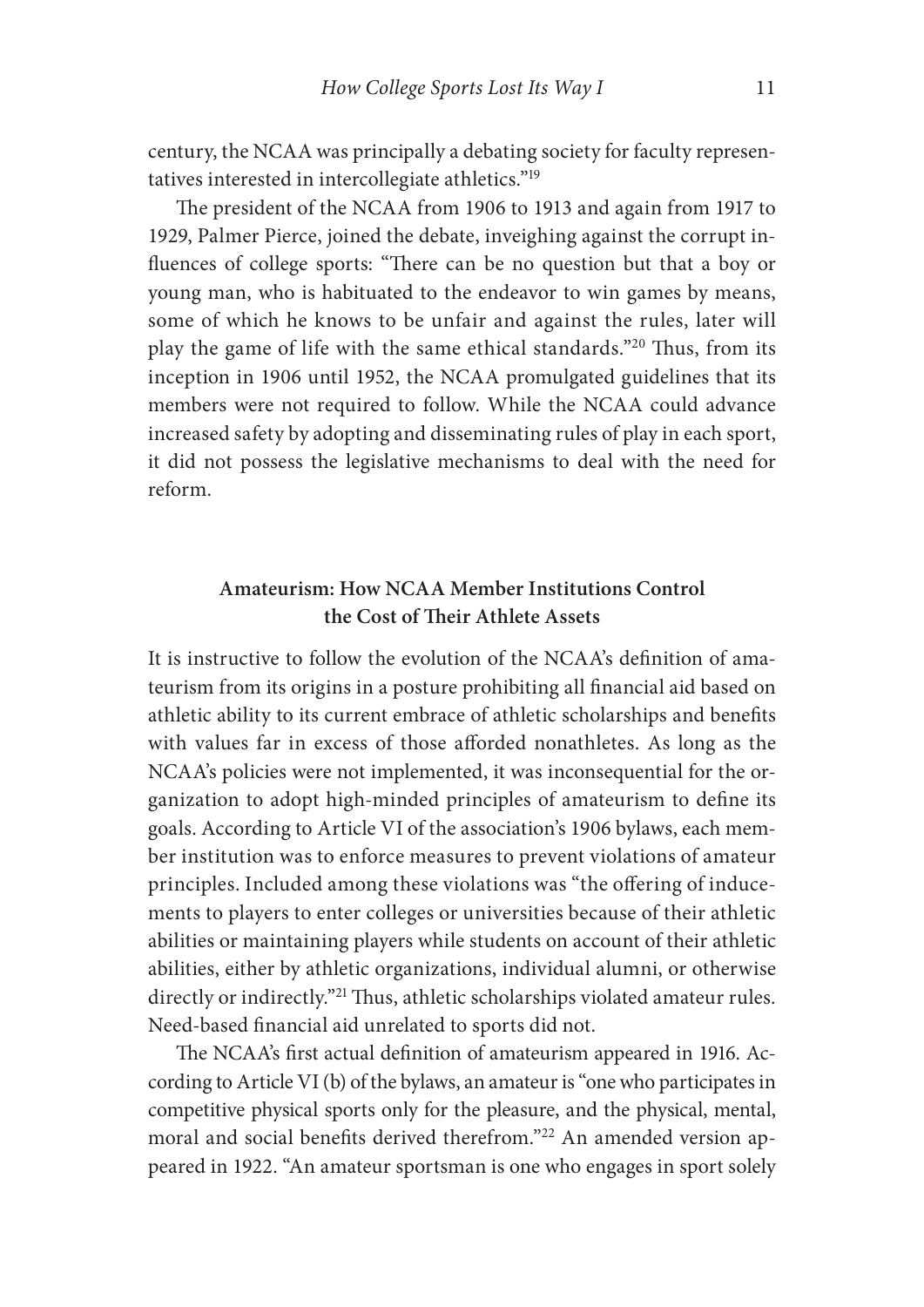century, the NCAA was principally a debating society for faculty representatives interested in intercollegiate athletics."19

The president of the NCAA from 1906 to 1913 and again from 1917 to 1929, Palmer Pierce, joined the debate, inveighing against the corrupt influences of college sports: "There can be no question but that a boy or young man, who is habituated to the endeavor to win games by means, some of which he knows to be unfair and against the rules, later will play the game of life with the same ethical standards."<sup>20</sup> Thus, from its inception in 1906 until 1952, the NCAA promulgated guidelines that its members were not required to follow. While the NCAA could advance increased safety by adopting and disseminating rules of play in each sport, it did not possess the legislative mechanisms to deal with the need for reform.

# **Amateurism: How NCAA Member Institutions Control the Cost of Their Athlete Assets**

It is instructive to follow the evolution of the NCAA's definition of amateurism from its origins in a posture prohibiting all financial aid based on athletic ability to its current embrace of athletic scholarships and benefits with values far in excess of those afforded nonathletes. As long as the NCAA's policies were not implemented, it was inconsequential for the organization to adopt high-minded principles of amateurism to define its goals. According to Article VI of the association's 1906 bylaws, each member institution was to enforce measures to prevent violations of amateur principles. Included among these violations was "the offering of inducements to players to enter colleges or universities because of their athletic abilities or maintaining players while students on account of their athletic abilities, either by athletic organizations, individual alumni, or otherwise directly or indirectly."<sup>21</sup> Thus, athletic scholarships violated amateur rules. Need-based financial aid unrelated to sports did not.

The NCAA's first actual definition of amateurism appeared in 1916. According to Article VI (b) of the bylaws, an amateur is "one who participates in competitive physical sports only for the pleasure, and the physical, mental, moral and social benefits derived therefrom."<sup>22</sup> An amended version appeared in 1922. "An amateur sportsman is one who engages in sport solely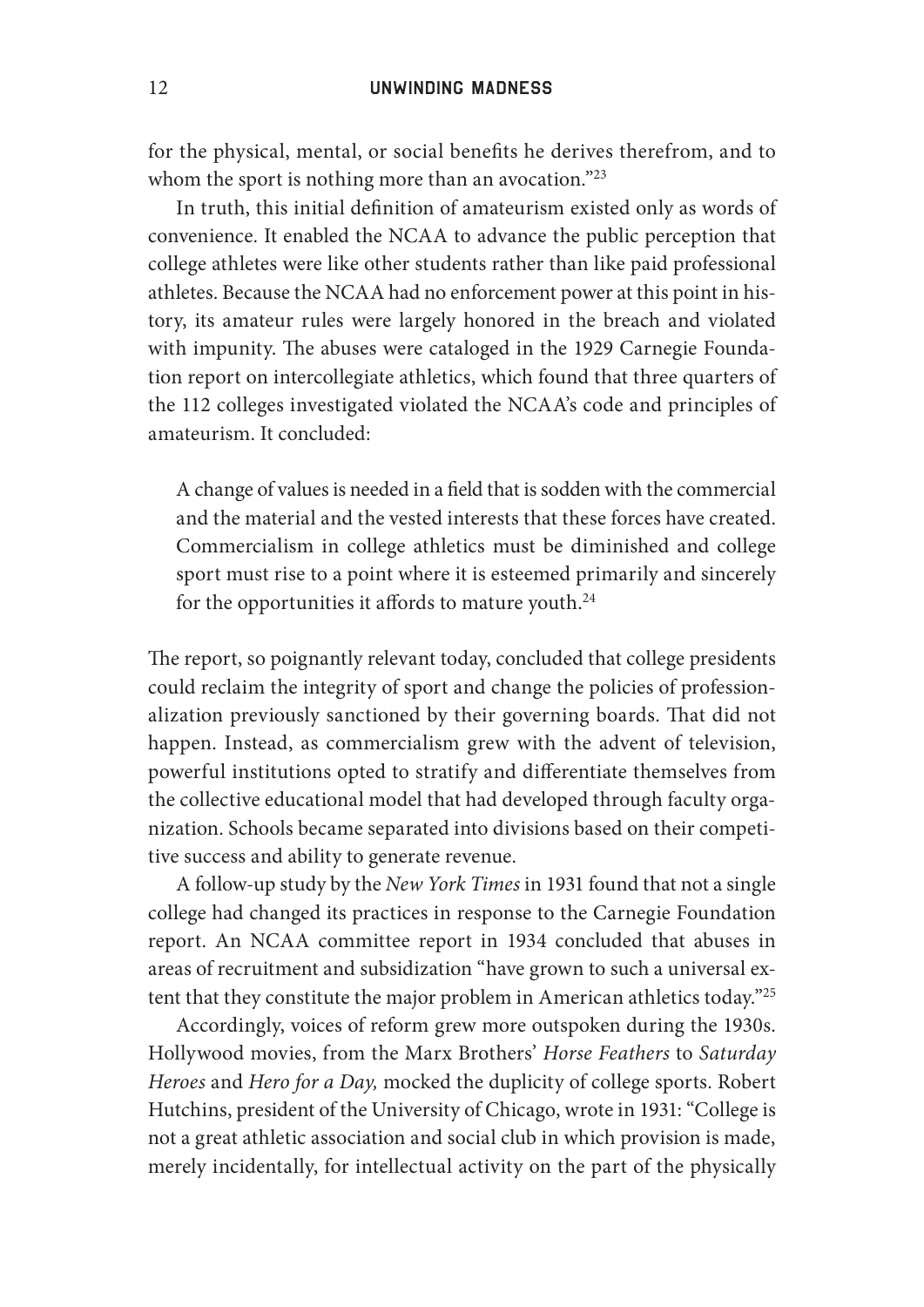for the physical, mental, or social benefits he derives therefrom, and to whom the sport is nothing more than an avocation."<sup>23</sup>

In truth, this initial definition of amateurism existed only as words of convenience. It enabled the NCAA to advance the public perception that college athletes were like other students rather than like paid professional athletes. Because the NCAA had no enforcement power at this point in history, its amateur rules were largely honored in the breach and violated with impunity. The abuses were cataloged in the 1929 Carnegie Foundation report on intercollegiate athletics, which found that three quarters of the 112 colleges investigated violated the NCAA's code and principles of amateurism. It concluded:

A change of values is needed in a field that is sodden with the commercial and the material and the vested interests that these forces have created. Commercialism in college athletics must be diminished and college sport must rise to a point where it is esteemed primarily and sincerely for the opportunities it affords to mature youth.<sup>24</sup>

The report, so poignantly relevant today, concluded that college presidents could reclaim the integrity of sport and change the policies of professionalization previously sanctioned by their governing boards. That did not happen. Instead, as commercialism grew with the advent of television, powerful institutions opted to stratify and differentiate themselves from the collective educational model that had developed through faculty organization. Schools became separated into divisions based on their competitive success and ability to generate revenue.

A follow-up study by the *New York Times* in 1931 found that not a single college had changed its practices in response to the Carnegie Foundation report. An NCAA committee report in 1934 concluded that abuses in areas of recruitment and subsidization "have grown to such a universal extent that they constitute the major problem in American athletics today."<sup>25</sup>

Accordingly, voices of reform grew more outspoken during the 1930s. Hollywood movies, from the Marx Brothers' *Horse Feathers* to *Saturday Heroes* and *Hero for a Day,* mocked the duplicity of college sports. Robert Hutchins, president of the University of Chicago, wrote in 1931: "College is not a great athletic association and social club in which provision is made, merely incidentally, for intellectual activity on the part of the physically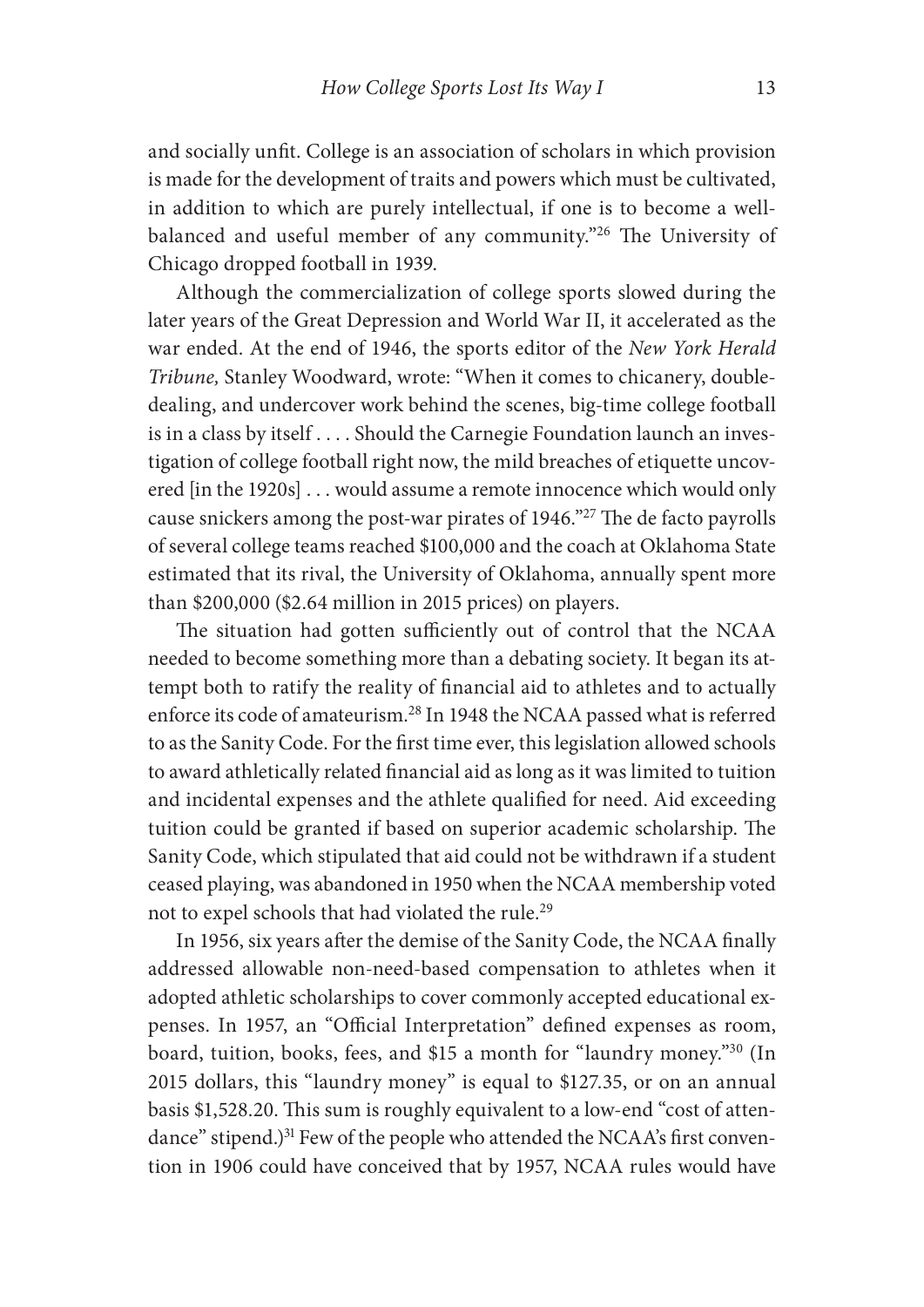and socially unfit. College is an association of scholars in which provision is made for the development of traits and powers which must be cultivated, in addition to which are purely intellectual, if one is to become a wellbalanced and useful member of any community."<sup>26</sup> The University of Chicago dropped football in 1939.

Although the commercialization of college sports slowed during the later years of the Great Depression and World War II, it accelerated as the war ended. At the end of 1946, the sports editor of the *New York Herald Tribune,* Stanley Woodward, wrote: "When it comes to chicanery, doubledealing, and undercover work behind the scenes, big- time college football is in a class by itself . . . . Should the Carnegie Foundation launch an investigation of college football right now, the mild breaches of etiquette uncovered [in the 1920s] . . . would assume a remote innocence which would only cause snickers among the post-war pirates of 1946."<sup>27</sup> The de facto payrolls of several college teams reached \$100,000 and the coach at Oklahoma State estimated that its rival, the University of Oklahoma, annually spent more than \$200,000 (\$2.64 million in 2015 prices) on players.

The situation had gotten sufficiently out of control that the NCAA needed to become something more than a debating society. It began its attempt both to ratify the reality of financial aid to athletes and to actually enforce its code of amateurism.28 In 1948 the NCAA passed what is referred to as the Sanity Code. For the first time ever, this legislation allowed schools to award athletically related financial aid as long as it was limited to tuition and incidental expenses and the athlete qualified for need. Aid exceeding tuition could be granted if based on superior academic scholarship. The Sanity Code, which stipulated that aid could not be withdrawn if a student ceased playing, was abandoned in 1950 when the NCAA membership voted not to expel schools that had violated the rule.<sup>29</sup>

In 1956, six years after the demise of the Sanity Code, the NCAA finally addressed allowable non- need- based compensation to athletes when it adopted athletic scholarships to cover commonly accepted educational expenses. In 1957, an "Official Interpretation" defined expenses as room, board, tuition, books, fees, and \$15 a month for "laundry money."30 (In 2015 dollars, this "laundry money" is equal to \$127.35, or on an annual basis \$1,528.20. This sum is roughly equivalent to a low-end "cost of attendance" stipend.)<sup>31</sup> Few of the people who attended the NCAA's first convention in 1906 could have conceived that by 1957, NCAA rules would have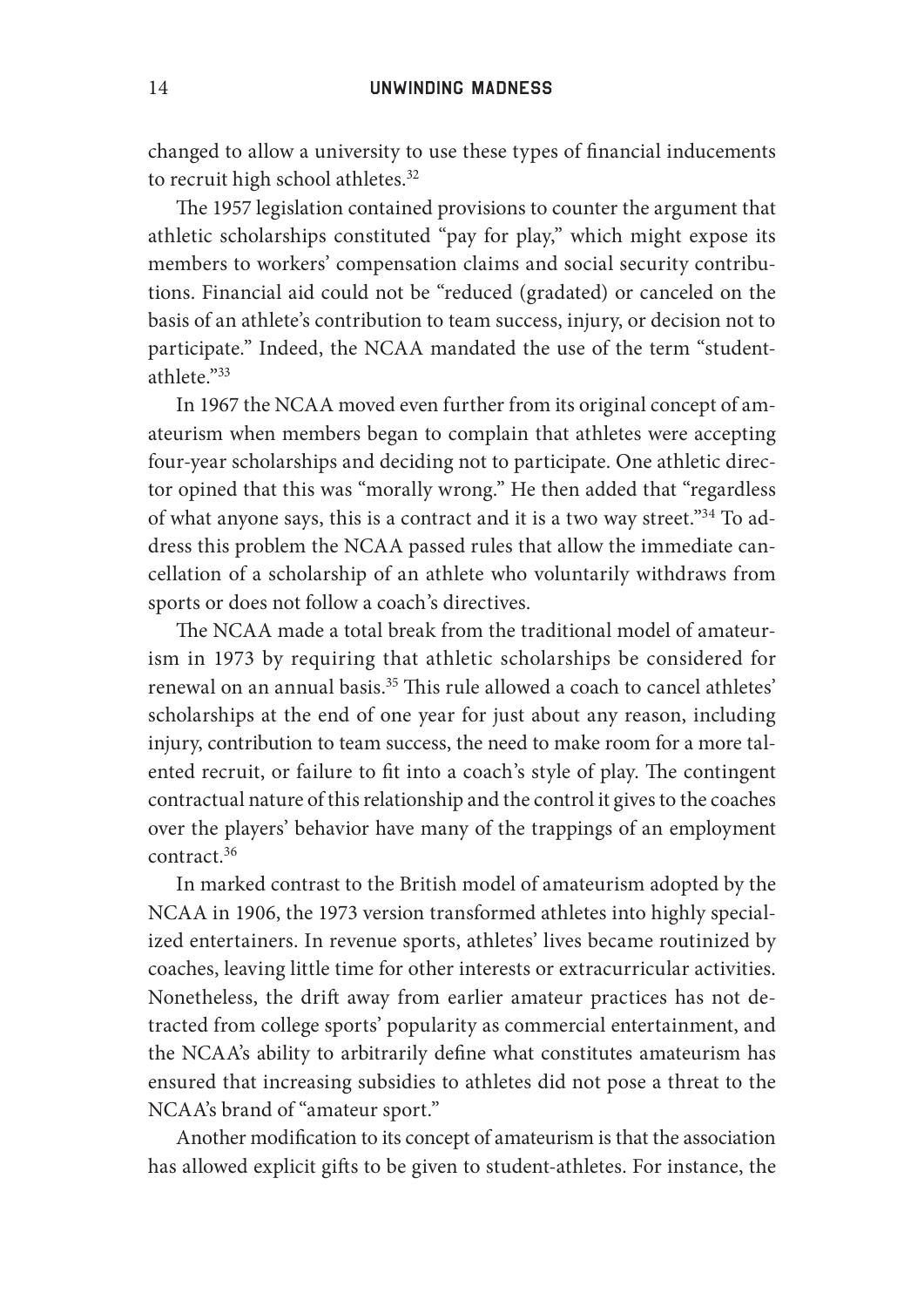changed to allow a university to use these types of financial inducements to recruit high school athletes.<sup>32</sup>

The 1957 legislation contained provisions to counter the argument that athletic scholarships constituted "pay for play," which might expose its members to workers' compensation claims and social security contributions. Financial aid could not be "reduced (gradated) or canceled on the basis of an athlete's contribution to team success, injury, or decision not to participate." Indeed, the NCAA mandated the use of the term "studentathlete."33

In 1967 the NCAA moved even further from its original concept of amateurism when members began to complain that athletes were accepting four- year scholarships and deciding not to participate. One athletic director opined that this was "morally wrong." He then added that "regardless of what anyone says, this is a contract and it is a two way street."34 To address this problem the NCAA passed rules that allow the immediate cancellation of a scholarship of an athlete who voluntarily withdraws from sports or does not follow a coach's directives.

The NCAA made a total break from the traditional model of amateurism in 1973 by requiring that athletic scholarships be considered for renewal on an annual basis.<sup>35</sup> This rule allowed a coach to cancel athletes' scholarships at the end of one year for just about any reason, including injury, contribution to team success, the need to make room for a more talented recruit, or failure to fit into a coach's style of play. The contingent contractual nature of this relationship and the control it gives to the coaches over the players' behavior have many of the trappings of an employment contract.36

In marked contrast to the British model of amateurism adopted by the NCAA in 1906, the 1973 version transformed athletes into highly specialized entertainers. In revenue sports, athletes' lives became routinized by coaches, leaving little time for other interests or extracurricular activities. Nonetheless, the drift away from earlier amateur practices has not detracted from college sports' popularity as commercial entertainment, and the NCAA's ability to arbitrarily define what constitutes amateurism has ensured that increasing subsidies to athletes did not pose a threat to the NCAA's brand of "amateur sport."

Another modification to its concept of amateurism is that the association has allowed explicit gifts to be given to student-athletes. For instance, the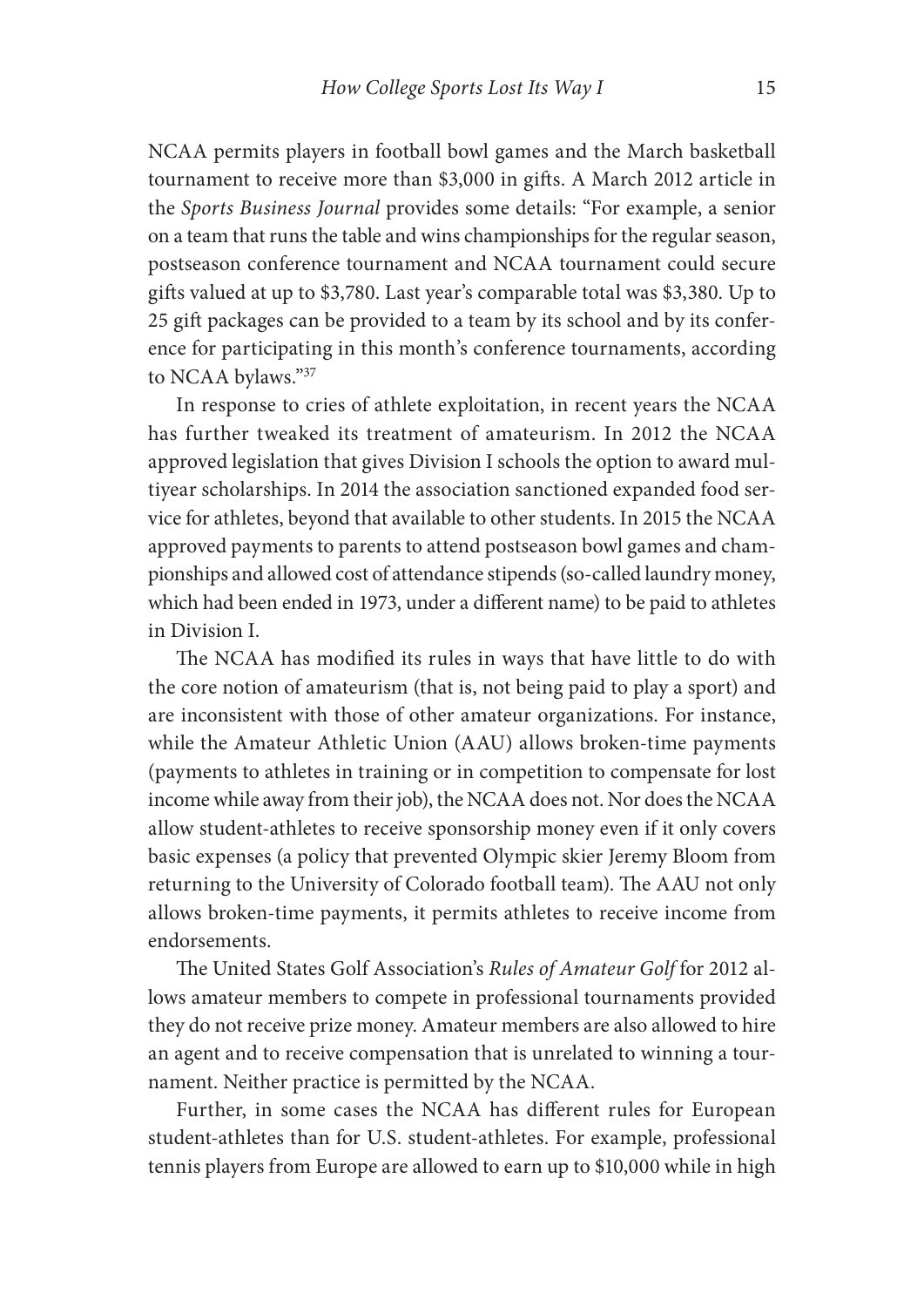NCAA permits players in football bowl games and the March basketball tournament to receive more than \$3,000 in gifts. A March 2012 article in the *Sports Business Journal* provides some details: "For example, a senior on a team that runs the table and wins championships for the regular season, postseason conference tournament and NCAA tournament could secure gifts valued at up to \$3,780. Last year's comparable total was \$3,380. Up to 25 gift packages can be provided to a team by its school and by its conference for participating in this month's conference tournaments, according to NCAA bylaws."37

In response to cries of athlete exploitation, in recent years the NCAA has further tweaked its treatment of amateurism. In 2012 the NCAA approved legislation that gives Division I schools the option to award multiyear scholarships. In 2014 the association sanctioned expanded food service for athletes, beyond that available to other students. In 2015 the NCAA approved payments to parents to attend postseason bowl games and championships and allowed cost of attendance stipends (so- called laundry money, which had been ended in 1973, under a different name) to be paid to athletes in Division I.

The NCAA has modified its rules in ways that have little to do with the core notion of amateurism (that is, not being paid to play a sport) and are inconsistent with those of other amateur organizations. For instance, while the Amateur Athletic Union (AAU) allows broken-time payments (payments to athletes in training or in competition to compensate for lost income while away from their job), the NCAA does not. Nor does the NCAA allow student- athletes to receive sponsorship money even if it only covers basic expenses (a policy that prevented Olympic skier Jeremy Bloom from returning to the University of Colorado football team). The AAU not only allows broken-time payments, it permits athletes to receive income from endorsements.

The United States Golf Association's *Rules of Amateur Golf* for 2012 allows amateur members to compete in professional tournaments provided they do not receive prize money. Amateur members are also allowed to hire an agent and to receive compensation that is unrelated to winning a tournament. Neither practice is permitted by the NCAA.

Further, in some cases the NCAA has different rules for European student- athletes than for U.S. student- athletes. For example, professional tennis players from Europe are allowed to earn up to \$10,000 while in high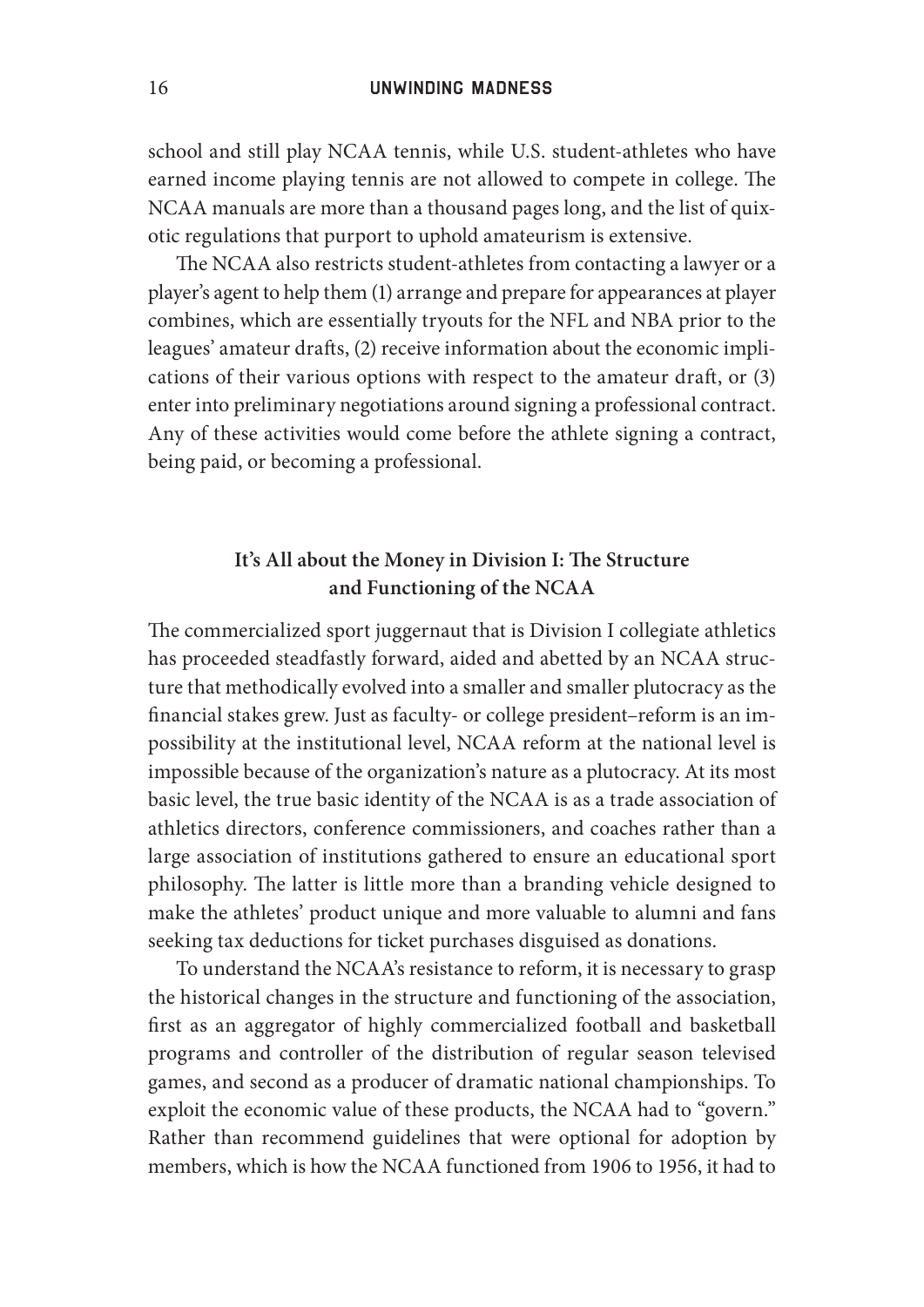school and still play NCAA tennis, while U.S. student-athletes who have earned income playing tennis are not allowed to compete in college. The NCAA manuals are more than a thousand pages long, and the list of quixotic regulations that purport to uphold amateurism is extensive.

The NCAA also restricts student-athletes from contacting a lawyer or a player's agent to help them (1) arrange and prepare for appearances at player combines, which are essentially tryouts for the NFL and NBA prior to the leagues' amateur drafts, (2) receive information about the economic implications of their various options with respect to the amateur draft, or  $(3)$ enter into preliminary negotiations around signing a professional contract. Any of these activities would come before the athlete signing a contract, being paid, or becoming a professional.

## It's All about the Money in Division I: The Structure **and Functioning of the NCAA**

The commercialized sport juggernaut that is Division I collegiate athletics has proceeded steadfastly forward, aided and abetted by an NCAA structure that methodically evolved into a smaller and smaller plutocracy as the financial stakes grew. Just as faculty- or college president-reform is an impossibility at the institutional level, NCAA reform at the national level is impossible because of the organization's nature as a plutocracy. At its most basic level, the true basic identity of the NCAA is as a trade association of athletics directors, conference commissioners, and coaches rather than a large association of institutions gathered to ensure an educational sport philosophy. The latter is little more than a branding vehicle designed to make the athletes' product unique and more valuable to alumni and fans seeking tax deductions for ticket purchases disguised as donations.

To understand the NCAA's resistance to reform, it is necessary to grasp the historical changes in the structure and functioning of the association, first as an aggregator of highly commercialized football and basketball programs and controller of the distribution of regular season televised games, and second as a producer of dramatic national championships. To exploit the economic value of these products, the NCAA had to "govern." Rather than recommend guidelines that were optional for adoption by members, which is how the NCAA functioned from 1906 to 1956, it had to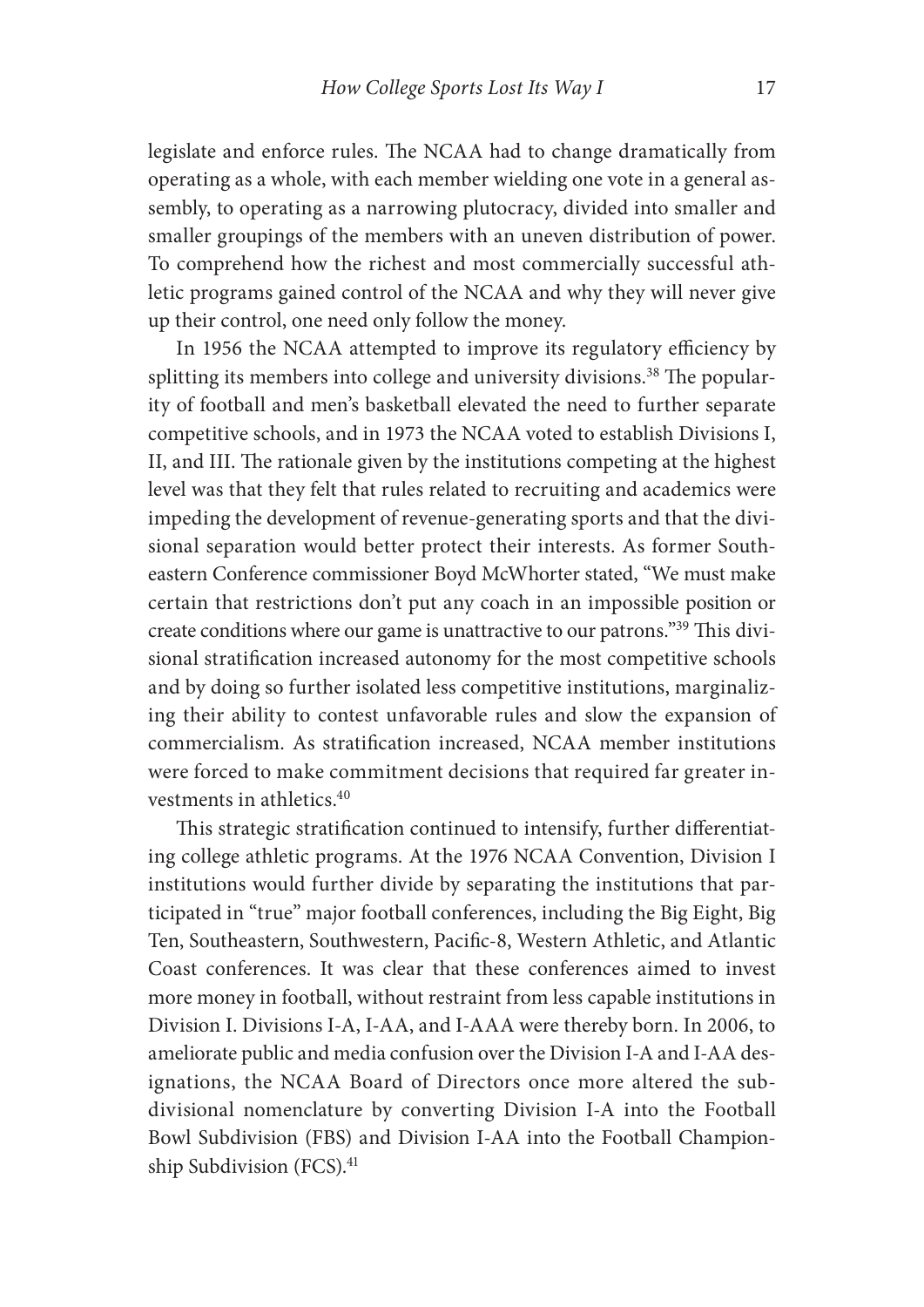legislate and enforce rules. The NCAA had to change dramatically from operating as a whole, with each member wielding one vote in a general assembly, to operating as a narrowing plutocracy, divided into smaller and smaller groupings of the members with an uneven distribution of power. To comprehend how the richest and most commercially successful athletic programs gained control of the NCAA and why they will never give up their control, one need only follow the money.

In 1956 the NCAA attempted to improve its regulatory efficiency by splitting its members into college and university divisions.<sup>38</sup> The popularity of football and men's basketball elevated the need to further separate competitive schools, and in 1973 the NCAA voted to establish Divisions I, II, and III. The rationale given by the institutions competing at the highest level was that they felt that rules related to recruiting and academics were impeding the development of revenue- generating sports and that the divisional separation would better protect their interests. As former Southeastern Conference commissioner Boyd McWhorter stated, "We must make certain that restrictions don't put any coach in an impossible position or create conditions where our game is unattractive to our patrons."<sup>39</sup> This divisional stratification increased autonomy for the most competitive schools and by doing so further isolated less competitive institutions, marginalizing their ability to contest unfavorable rules and slow the expansion of commercialism. As stratification increased, NCAA member institutions were forced to make commitment decisions that required far greater investments in athletics.40

This strategic stratification continued to intensify, further differentiating college athletic programs. At the 1976 NCAA Convention, Division I institutions would further divide by separating the institutions that participated in "true" major football conferences, including the Big Eight, Big Ten, Southeastern, Southwestern, Pacific-8, Western Athletic, and Atlantic Coast conferences. It was clear that these conferences aimed to invest more money in football, without restraint from less capable institutions in Division I. Divisions I-A, I-AA, and I-AAA were thereby born. In 2006, to ameliorate public and media confusion over the Division I-A and I-AA designations, the NCAA Board of Directors once more altered the subdivisional nomenclature by converting Division I-A into the Football Bowl Subdivision (FBS) and Division I-AA into the Football Championship Subdivision (FCS).<sup>41</sup>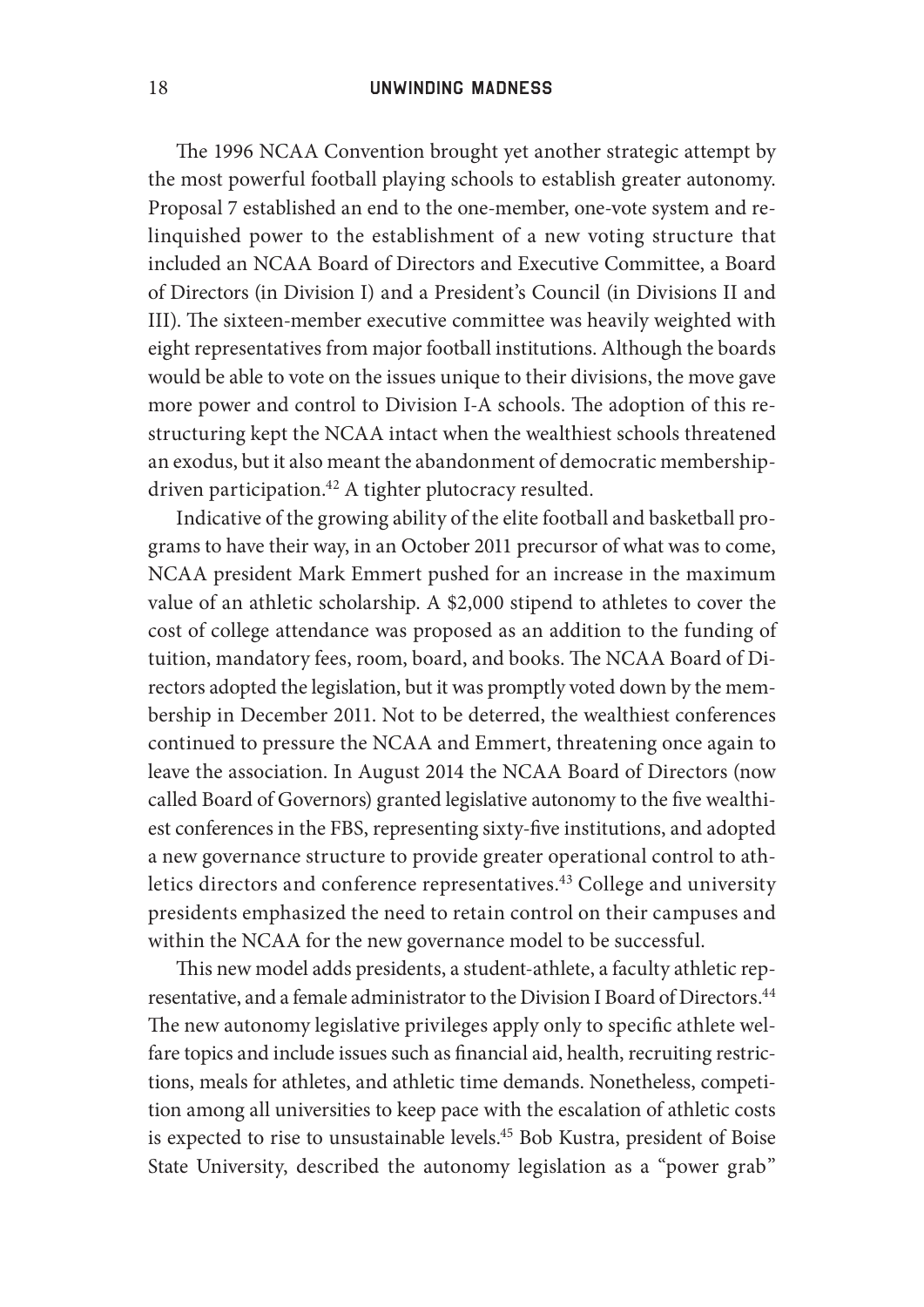The 1996 NCAA Convention brought yet another strategic attempt by the most powerful football playing schools to establish greater autonomy. Proposal 7 established an end to the one-member, one-vote system and relinquished power to the establishment of a new voting structure that included an NCAA Board of Directors and Executive Committee, a Board of Directors (in Division I) and a President's Council (in Divisions II and III). The sixteen-member executive committee was heavily weighted with eight representatives from major football institutions. Although the boards would be able to vote on the issues unique to their divisions, the move gave more power and control to Division I-A schools. The adoption of this restructuring kept the NCAA intact when the wealthiest schools threatened an exodus, but it also meant the abandonment of democratic membershipdriven participation.<sup>42</sup> A tighter plutocracy resulted.

Indicative of the growing ability of the elite football and basketball programs to have their way, in an October 2011 precursor of what was to come, NCAA president Mark Emmert pushed for an increase in the maximum value of an athletic scholarship. A \$2,000 stipend to athletes to cover the cost of college attendance was proposed as an addition to the funding of tuition, mandatory fees, room, board, and books. The NCAA Board of Directors adopted the legislation, but it was promptly voted down by the membership in December 2011. Not to be deterred, the wealthiest conferences continued to pressure the NCAA and Emmert, threatening once again to leave the association. In August 2014 the NCAA Board of Directors (now called Board of Governors) granted legislative autonomy to the five wealthiest conferences in the FBS, representing sixty-five institutions, and adopted a new governance structure to provide greater operational control to athletics directors and conference representatives.<sup>43</sup> College and university presidents emphasized the need to retain control on their campuses and within the NCAA for the new governance model to be successful.

This new model adds presidents, a student-athlete, a faculty athletic representative, and a female administrator to the Division I Board of Directors.<sup>44</sup> The new autonomy legislative privileges apply only to specific athlete welfare topics and include issues such as financial aid, health, recruiting restrictions, meals for athletes, and athletic time demands. Nonetheless, competition among all universities to keep pace with the escalation of athletic costs is expected to rise to unsustainable levels.<sup>45</sup> Bob Kustra, president of Boise State University, described the autonomy legislation as a "power grab"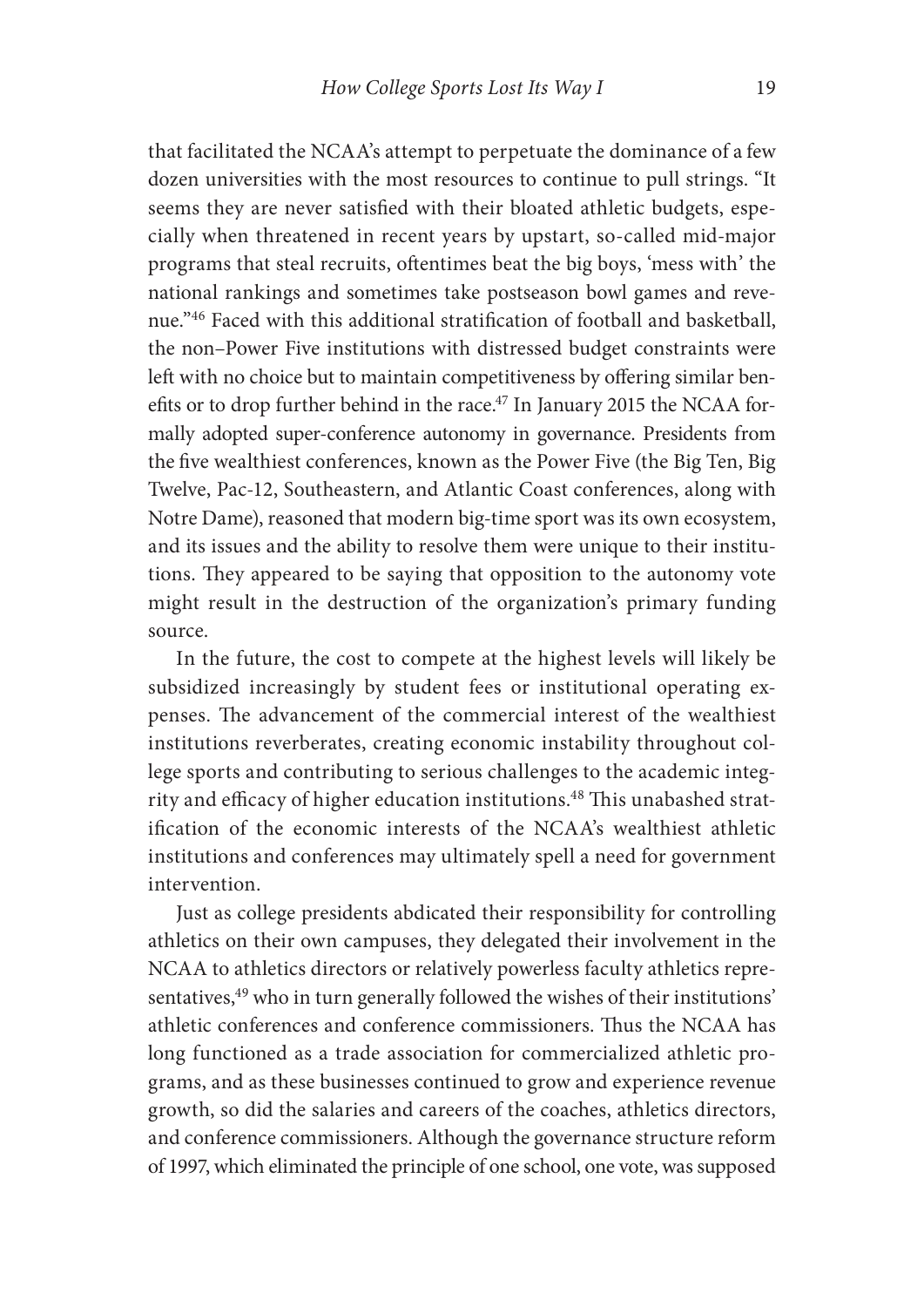that facilitated the NCAA's attempt to perpetuate the dominance of a few dozen universities with the most resources to continue to pull strings. "It seems they are never satisfied with their bloated athletic budgets, especially when threatened in recent years by upstart, so-called mid-major programs that steal recruits, oftentimes beat the big boys, 'mess with' the national rankings and sometimes take postseason bowl games and revenue."<sup>46</sup> Faced with this additional stratification of football and basketball, the non-Power Five institutions with distressed budget constraints were left with no choice but to maintain competitiveness by offering similar benefits or to drop further behind in the race.<sup>47</sup> In January 2015 the NCAA formally adopted super- conference autonomy in governance. Presidents from the five wealthiest conferences, known as the Power Five (the Big Ten, Big Twelve, Pac-12, Southeastern, and Atlantic Coast conferences, along with Notre Dame), reasoned that modern big- time sport was its own ecosystem, and its issues and the ability to resolve them were unique to their institutions. They appeared to be saying that opposition to the autonomy vote might result in the destruction of the organization's primary funding source.

In the future, the cost to compete at the highest levels will likely be subsidized increasingly by student fees or institutional operating expenses. The advancement of the commercial interest of the wealthiest institutions reverberates, creating economic instability throughout college sports and contributing to serious challenges to the academic integrity and efficacy of higher education institutions.<sup>48</sup> This unabashed stratification of the economic interests of the NCAA's wealthiest athletic institutions and conferences may ultimately spell a need for government intervention.

Just as college presidents abdicated their responsibility for controlling athletics on their own campuses, they delegated their involvement in the NCAA to athletics directors or relatively powerless faculty athletics representatives,<sup>49</sup> who in turn generally followed the wishes of their institutions' athletic conferences and conference commissioners. Thus the NCAA has long functioned as a trade association for commercialized athletic programs, and as these businesses continued to grow and experience revenue growth, so did the salaries and careers of the coaches, athletics directors, and conference commissioners. Although the governance structure reform of 1997, which eliminated the principle of one school, one vote, was supposed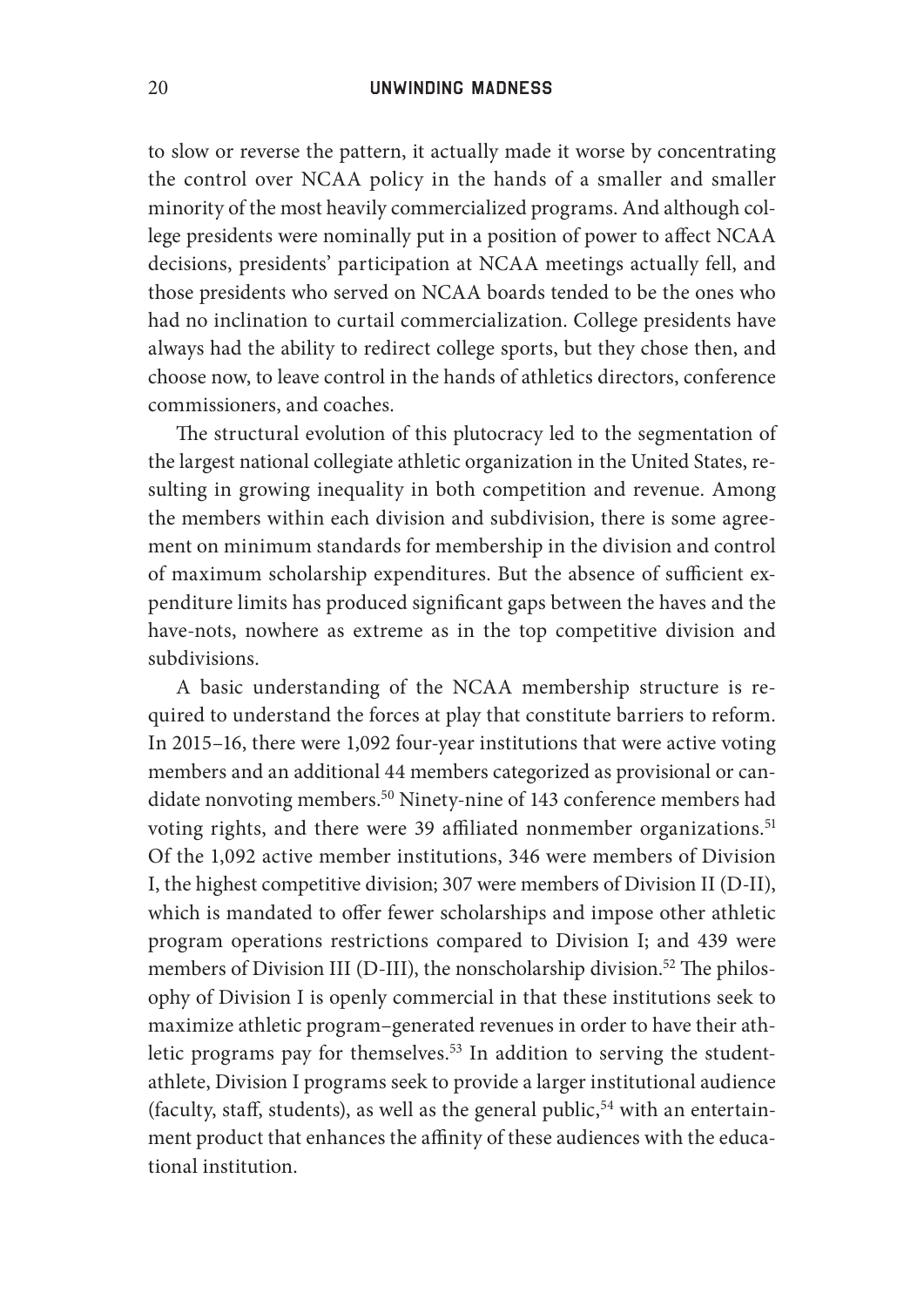to slow or reverse the pattern, it actually made it worse by concentrating the control over NCAA policy in the hands of a smaller and smaller minority of the most heavily commercialized programs. And although college presidents were nominally put in a position of power to affect NCAA decisions, presidents' participation at NCAA meetings actually fell, and those presidents who served on NCAA boards tended to be the ones who had no inclination to curtail commercialization. College presidents have always had the ability to redirect college sports, but they chose then, and choose now, to leave control in the hands of athletics directors, conference commissioners, and coaches.

The structural evolution of this plutocracy led to the segmentation of the largest national collegiate athletic organization in the United States, resulting in growing inequality in both competition and revenue. Among the members within each division and subdivision, there is some agreement on minimum standards for membership in the division and control of maximum scholarship expenditures. But the absence of sufficient expenditure limits has produced significant gaps between the haves and the have- nots, nowhere as extreme as in the top competitive division and subdivisions.

A basic understanding of the NCAA membership structure is required to understand the forces at play that constitute barriers to reform. In 2015–16, there were 1,092 four-year institutions that were active voting members and an additional 44 members categorized as provisional or candidate nonvoting members.<sup>50</sup> Ninety-nine of 143 conference members had voting rights, and there were 39 affiliated nonmember organizations.<sup>51</sup> Of the 1,092 active member institutions, 346 were members of Division I, the highest competitive division; 307 were members of Division II (D-II), which is mandated to offer fewer scholarships and impose other athletic program operations restrictions compared to Division I; and 439 were members of Division III (D-III), the nonscholarship division.<sup>52</sup> The philosophy of Division I is openly commercial in that these institutions seek to maximize athletic program– generated revenues in order to have their athletic programs pay for themselves.<sup>53</sup> In addition to serving the studentathlete, Division I programs seek to provide a larger institutional audience (faculty, staff, students), as well as the general public,  $54$  with an entertainment product that enhances the affinity of these audiences with the educational institution.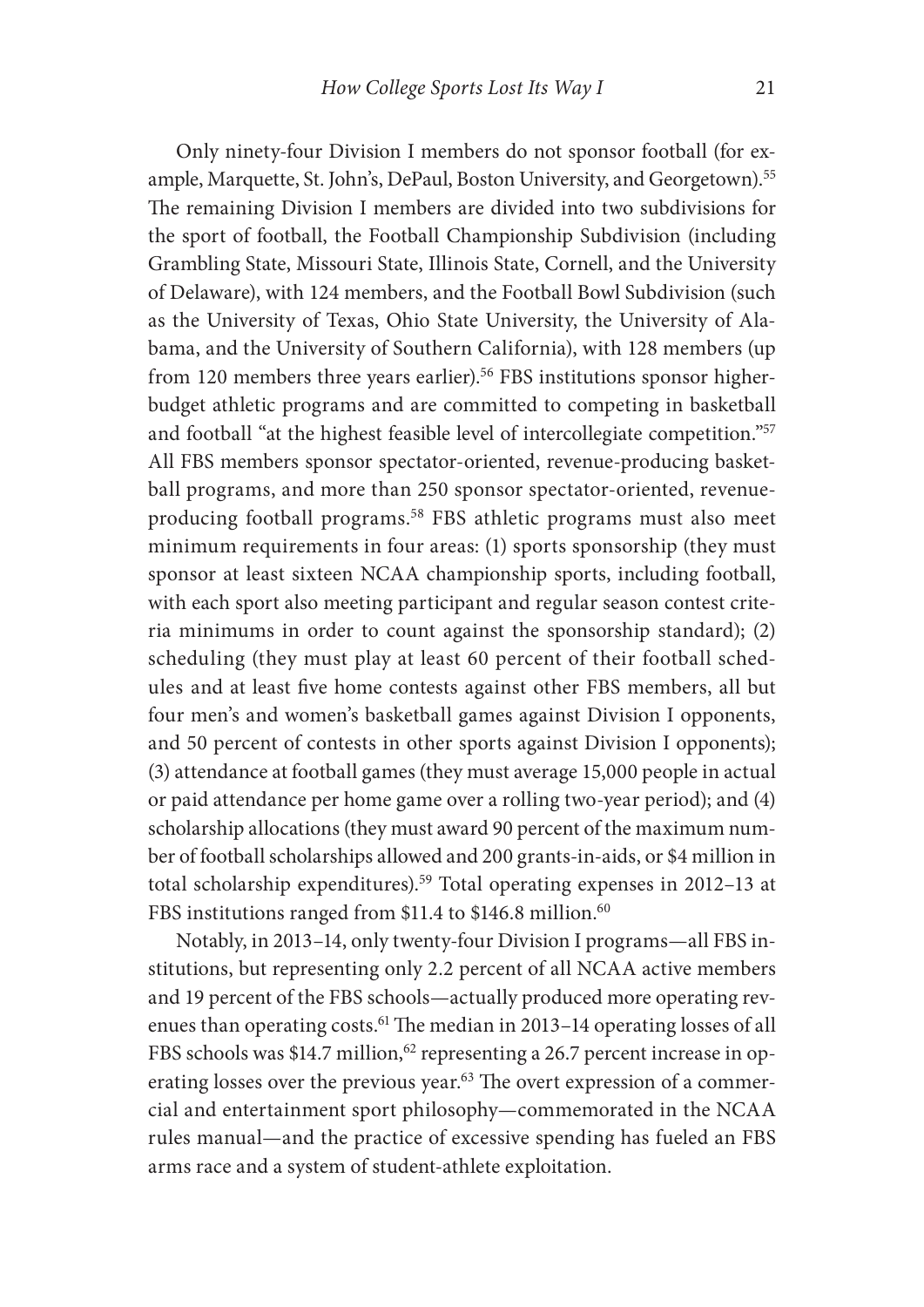Only ninety-four Division I members do not sponsor football (for example, Marquette, St. John's, DePaul, Boston University, and Georgetown).55 The remaining Division I members are divided into two subdivisions for the sport of football, the Football Championship Subdivision (including Grambling State, Missouri State, Illinois State, Cornell, and the University of Delaware), with 124 members, and the Football Bowl Subdivision (such as the University of Texas, Ohio State University, the University of Alabama, and the University of Southern California), with 128 members (up from 120 members three years earlier).<sup>56</sup> FBS institutions sponsor higherbudget athletic programs and are committed to competing in basketball and football "at the highest feasible level of intercollegiate competition."57 All FBS members sponsor spectator- oriented, revenue- producing basketball programs, and more than 250 sponsor spectator- oriented, revenueproducing football programs.58 FBS athletic programs must also meet minimum requirements in four areas: (1) sports sponsorship (they must sponsor at least sixteen NCAA championship sports, including football, with each sport also meeting participant and regular season contest criteria minimums in order to count against the sponsorship standard); (2) scheduling (they must play at least 60 percent of their football schedules and at least five home contests against other FBS members, all but four men's and women's basketball games against Division I opponents, and 50 percent of contests in other sports against Division I opponents); (3) attendance at football games (they must average 15,000 people in actual or paid attendance per home game over a rolling two- year period); and (4) scholarship allocations (they must award 90 percent of the maximum number of football scholarships allowed and 200 grants- in- aids, or \$4 million in total scholarship expenditures).59 Total operating expenses in 2012–13 at FBS institutions ranged from \$11.4 to \$146.8 million.<sup>60</sup>

Notably, in 2013-14, only twenty-four Division I programs-all FBS institutions, but representing only 2.2 percent of all NCAA active members and 19 percent of the FBS schools— actually produced more operating revenues than operating costs.<sup>61</sup> The median in 2013–14 operating losses of all FBS schools was \$14.7 million,<sup>62</sup> representing a 26.7 percent increase in operating losses over the previous year.<sup>63</sup> The overt expression of a commercial and entertainment sport philosophy— commemorated in the NCAA rules manual— and the practice of excessive spending has fueled an FBS arms race and a system of student- athlete exploitation.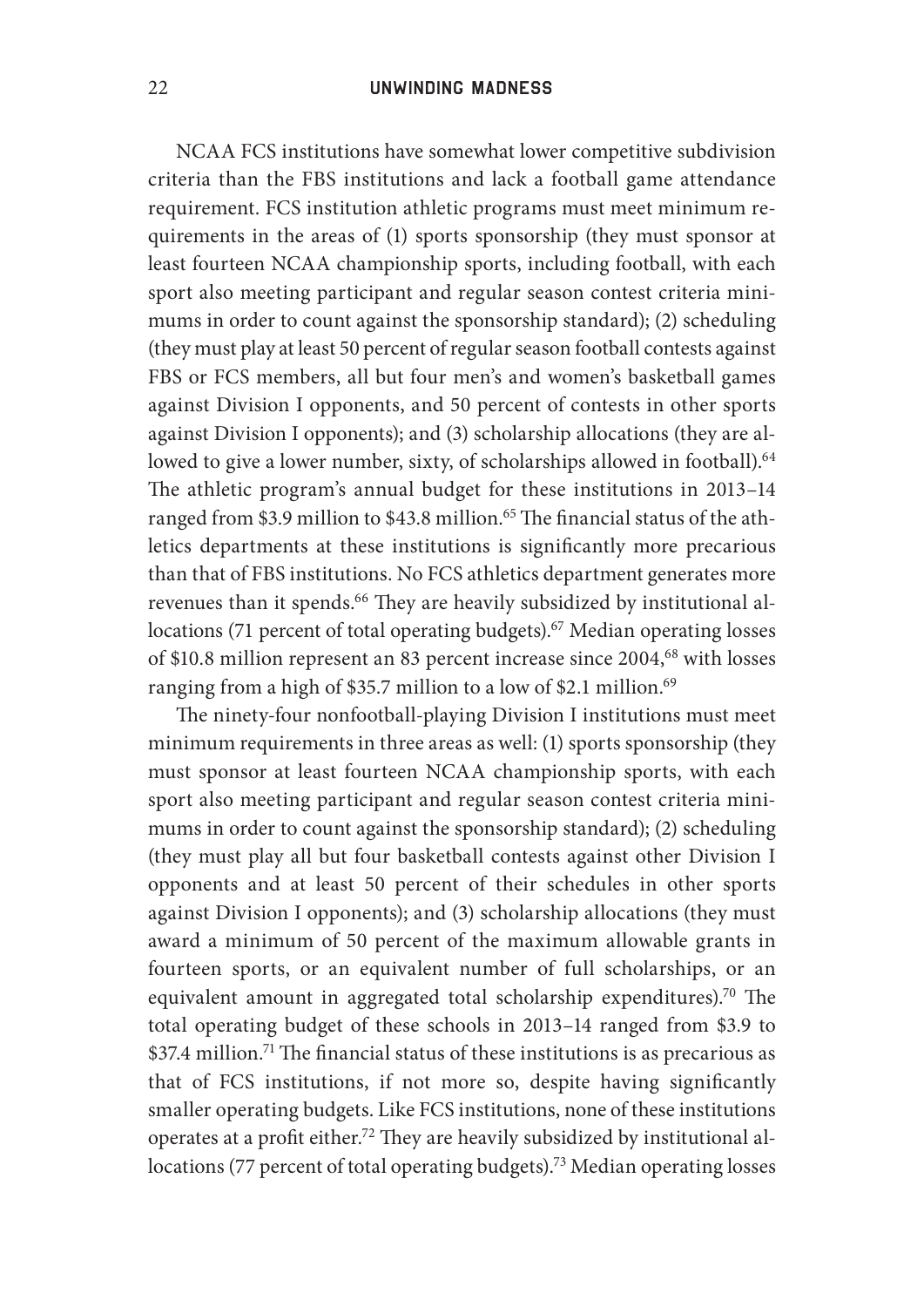NCAA FCS institutions have somewhat lower competitive subdivision criteria than the FBS institutions and lack a football game attendance requirement. FCS institution athletic programs must meet minimum requirements in the areas of (1) sports sponsorship (they must sponsor at least fourteen NCAA championship sports, including football, with each sport also meeting participant and regular season contest criteria minimums in order to count against the sponsorship standard); (2) scheduling (they must play at least 50 percent of regular season football contests against FBS or FCS members, all but four men's and women's basketball games against Division I opponents, and 50 percent of contests in other sports against Division I opponents); and (3) scholarship allocations (they are allowed to give a lower number, sixty, of scholarships allowed in football).<sup>64</sup> The athletic program's annual budget for these institutions in 2013-14 ranged from \$3.9 million to \$43.8 million.<sup>65</sup> The financial status of the athletics departments at these institutions is significantly more precarious than that of FBS institutions. No FCS athletics department generates more revenues than it spends.<sup>66</sup> They are heavily subsidized by institutional allocations (71 percent of total operating budgets).<sup>67</sup> Median operating losses of \$10.8 million represent an 83 percent increase since 2004,<sup>68</sup> with losses ranging from a high of \$35.7 million to a low of \$2.1 million.<sup>69</sup>

The ninety-four nonfootball-playing Division I institutions must meet minimum requirements in three areas as well: (1) sports sponsorship (they must sponsor at least fourteen NCAA championship sports, with each sport also meeting participant and regular season contest criteria minimums in order to count against the sponsorship standard); (2) scheduling (they must play all but four basketball contests against other Division I opponents and at least 50 percent of their schedules in other sports against Division I opponents); and (3) scholarship allocations (they must award a minimum of 50 percent of the maximum allowable grants in fourteen sports, or an equivalent number of full scholarships, or an equivalent amount in aggregated total scholarship expenditures).<sup>70</sup> The total operating budget of these schools in 2013-14 ranged from \$3.9 to  $$37.4$  million.<sup>71</sup> The financial status of these institutions is as precarious as that of FCS institutions, if not more so, despite having significantly smaller operating budgets. Like FCS institutions, none of these institutions operates at a profit either.<sup>72</sup> They are heavily subsidized by institutional allocations (77 percent of total operating budgets).<sup>73</sup> Median operating losses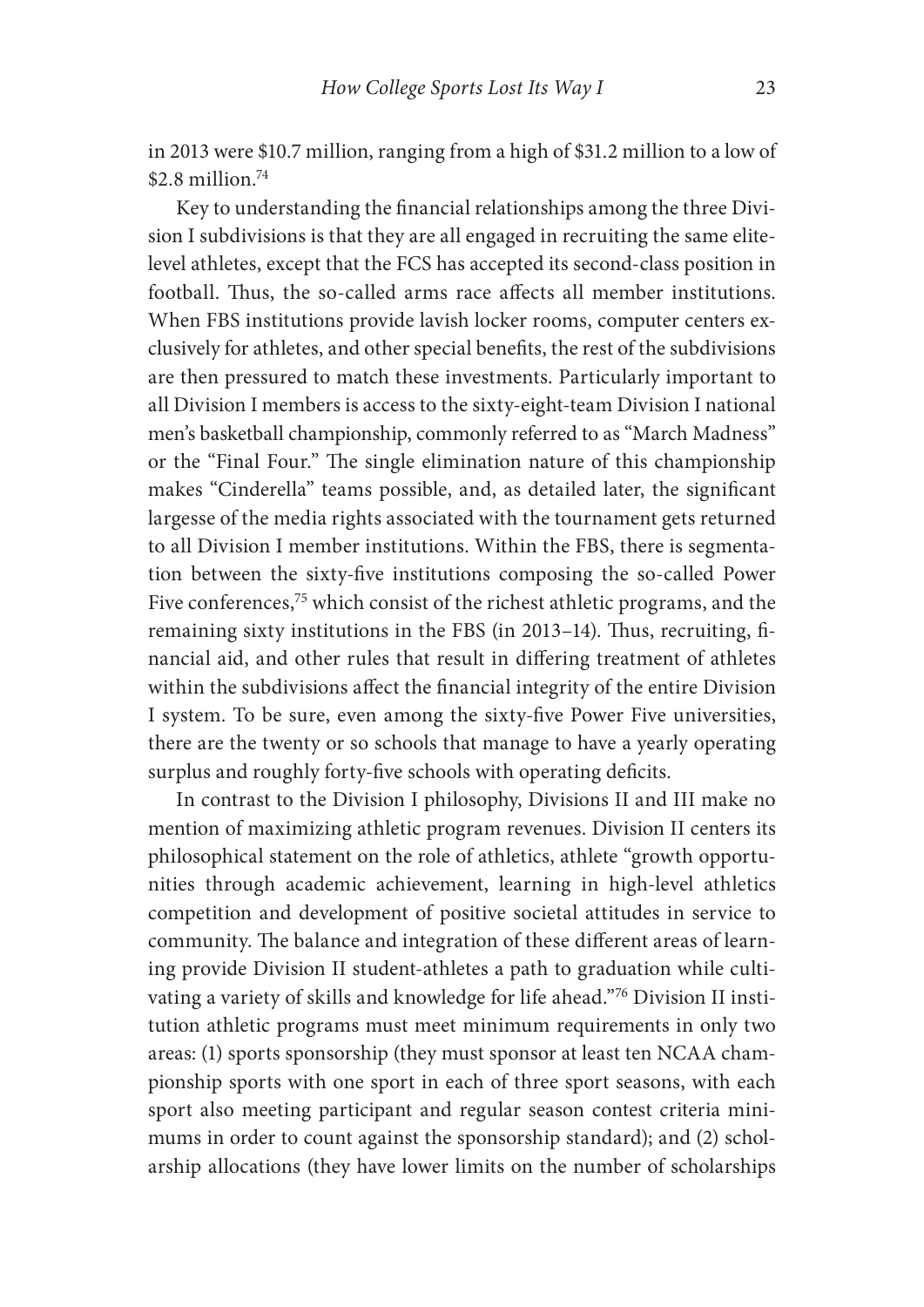in 2013 were \$10.7 million, ranging from a high of \$31.2 million to a low of  $$2.8$  million<sup>74</sup>

Key to understanding the financial relationships among the three Division I subdivisions is that they are all engaged in recruiting the same elitelevel athletes, except that the FCS has accepted its second- class position in football. Thus, the so-called arms race affects all member institutions. When FBS institutions provide lavish locker rooms, computer centers exclusively for athletes, and other special benefits, the rest of the subdivisions are then pressured to match these investments. Particularly important to all Division I members is access to the sixty- eight- team Division I national men's basketball championship, commonly referred to as "March Madness" or the "Final Four." The single elimination nature of this championship makes "Cinderella" teams possible, and, as detailed later, the significant largesse of the media rights associated with the tournament gets returned to all Division I member institutions. Within the FBS, there is segmentation between the sixty-five institutions composing the so-called Power Five conferences,<sup>75</sup> which consist of the richest athletic programs, and the remaining sixty institutions in the FBS (in 2013-14). Thus, recruiting, financial aid, and other rules that result in differing treatment of athletes within the subdivisions affect the financial integrity of the entire Division I system. To be sure, even among the sixty-five Power Five universities, there are the twenty or so schools that manage to have a yearly operating surplus and roughly forty-five schools with operating deficits.

In contrast to the Division I philosophy, Divisions II and III make no mention of maximizing athletic program revenues. Division II centers its philosophical statement on the role of athletics, athlete "growth opportunities through academic achievement, learning in high-level athletics competition and development of positive societal attitudes in service to community. The balance and integration of these different areas of learning provide Division II student- athletes a path to graduation while cultivating a variety of skills and knowledge for life ahead."76 Division II institution athletic programs must meet minimum requirements in only two areas: (1) sports sponsorship (they must sponsor at least ten NCAA championship sports with one sport in each of three sport seasons, with each sport also meeting participant and regular season contest criteria minimums in order to count against the sponsorship standard); and (2) scholarship allocations (they have lower limits on the number of scholarships